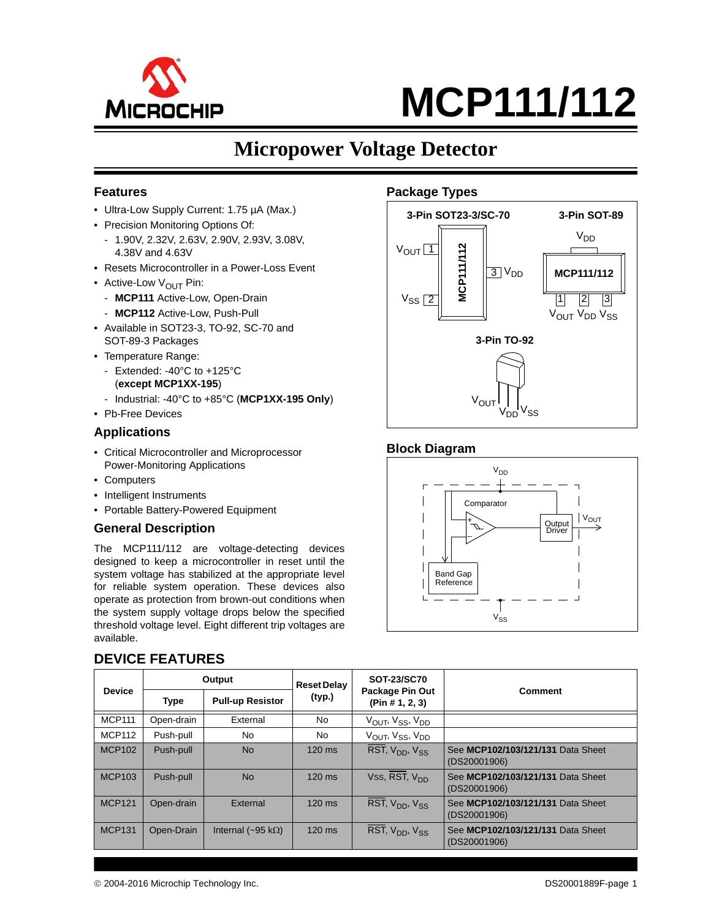

# **Micropower Voltage Detector**

#### **Features**

- Ultra-Low Supply Current: 1.75 µA (Max.)
- Precision Monitoring Options Of:
	- 1.90V, 2.32V, 2.63V, 2.90V, 2.93V, 3.08V, 4.38V and 4.63V
- Resets Microcontroller in a Power-Loss Event
- Active-Low  $V_{\text{OUT}}$  Pin:
	- **MCP111** Active-Low, Open-Drain
	- **MCP112** Active-Low, Push-Pull
- Available in SOT23-3, TO-92, SC-70 and SOT-89-3 Packages
- Temperature Range:
	- Extended: -40°C to +125°C (**except MCP1XX-195**)
	- Industrial: -40°C to +85°C (**MCP1XX-195 Only**)
- Pb-Free Devices

#### **Applications**

- Critical Microcontroller and Microprocessor Power-Monitoring Applications
- Computers
- Intelligent Instruments
- Portable Battery-Powered Equipment

#### **General Description**

The MCP111/112 are voltage-detecting devices designed to keep a microcontroller in reset until the system voltage has stabilized at the appropriate level for reliable system operation. These devices also operate as protection from brown-out conditions when the system supply voltage drops below the specified threshold voltage level. Eight different trip voltages are available.

|               |             | Output                            | <b>Reset Delay</b> | <b>SOT-23/SC70</b>                                   |                                                   |  |  |  |  |
|---------------|-------------|-----------------------------------|--------------------|------------------------------------------------------|---------------------------------------------------|--|--|--|--|
| <b>Device</b> | <b>Type</b> | <b>Pull-up Resistor</b>           | (typ.)             | Package Pin Out<br><b>Comment</b><br>(Pin # 1, 2, 3) |                                                   |  |  |  |  |
| <b>MCP111</b> | Open-drain  | External                          | No                 | V <sub>OUT</sub> , V <sub>SS</sub> , V <sub>DD</sub> |                                                   |  |  |  |  |
| <b>MCP112</b> | Push-pull   | No                                | <b>No</b>          | $V_{OUIT}$ , $V_{SS}$ , $V_{DD}$                     |                                                   |  |  |  |  |
| <b>MCP102</b> | Push-pull   | <b>No</b>                         | $120$ ms           | RST, V <sub>DD</sub> , V <sub>SS</sub>               | See MCP102/103/121/131 Data Sheet<br>(DS20001906) |  |  |  |  |
| <b>MCP103</b> | Push-pull   | <b>No</b>                         | $120$ ms           | Vss, $\overline{\text{RST}}$ , $V_{DD}$              | See MCP102/103/121/131 Data Sheet<br>(DS20001906) |  |  |  |  |
| <b>MCP121</b> | Open-drain  | External                          | $120$ ms           | RST, V <sub>DD</sub> , V <sub>SS</sub>               | See MCP102/103/121/131 Data Sheet<br>(DS20001906) |  |  |  |  |
| <b>MCP131</b> | Open-Drain  | Internal ( $\sim$ 95 k $\Omega$ ) | $120$ ms           | RST, V <sub>DD</sub> , V <sub>SS</sub>               | See MCP102/103/121/131 Data Sheet<br>(DS20001906) |  |  |  |  |

#### **DEVICE FEATURES**



#### **Block Diagram**

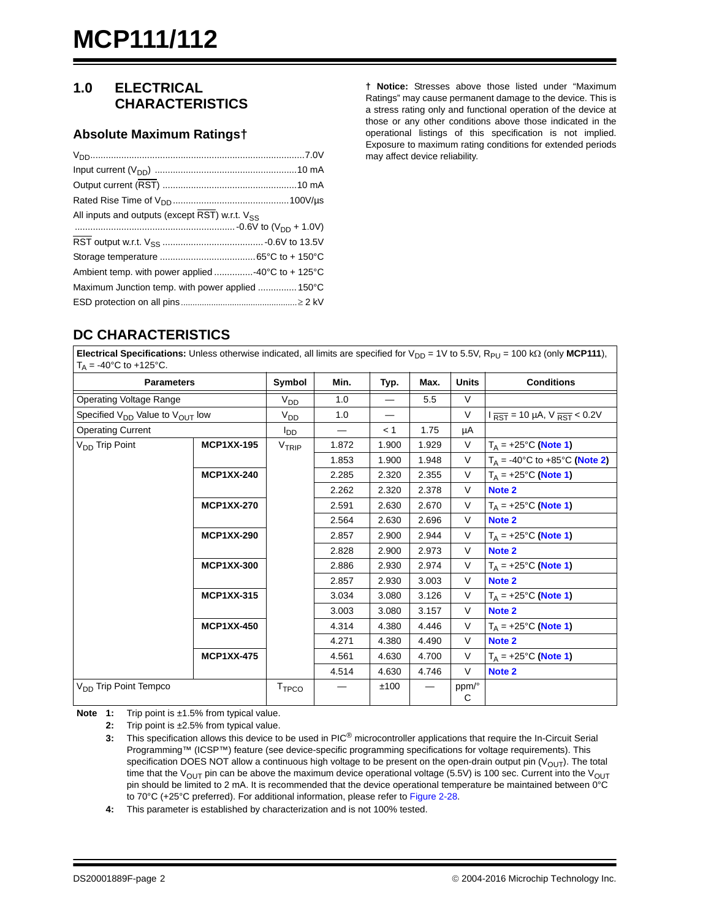#### <span id="page-1-4"></span>**1.0 ELECTRICAL CHARACTERISTICS**

#### **Absolute Maximum Ratings†**

| All inputs and outputs (except RST) w.r.t. V <sub>SS</sub>                   |  |
|------------------------------------------------------------------------------|--|
|                                                                              |  |
|                                                                              |  |
|                                                                              |  |
| Ambient temp. with power applied 40 $\rm ^{\circ}C$ to + 125 $\rm ^{\circ}C$ |  |
| Maximum Junction temp. with power applied  150°C                             |  |
|                                                                              |  |

**† Notice:** Stresses above those listed under "Maximum Ratings" may cause permanent damage to the device. This is a stress rating only and functional operation of the device at those or any other conditions above those indicated in the operational listings of this specification is not implied. Exposure to maximum rating conditions for extended periods may affect device reliability.

# **DC CHARACTERISTICS**

**Electrical Specifications:** Unless otherwise indicated, all limits are specified for  $V_{DD} = 1V$  to 5.5V, R<sub>PU</sub> = 100 k $\Omega$  (only MCP111),  $T_A = -40^{\circ}C$  to +125°C.

| <b>Parameters</b>                                       |                   | Symbol                   | Min.  | Typ.     | Max.  | <b>Units</b> | <b>Conditions</b>                                          |
|---------------------------------------------------------|-------------------|--------------------------|-------|----------|-------|--------------|------------------------------------------------------------|
| Operating Voltage Range                                 |                   | V <sub>DD</sub>          | 1.0   | $\equiv$ | 5.5   | V            |                                                            |
| Specified V <sub>DD</sub> Value to V <sub>OUT</sub> low |                   | V <sub>DD</sub>          | 1.0   | $\equiv$ |       | $\vee$       | $I_{\overline{RST}}$ = 10 µA, V $_{\overline{RST}}$ < 0.2V |
| <b>Operating Current</b>                                |                   | l <sub>DD</sub>          |       | < 1      | 1.75  | μA           |                                                            |
| V <sub>DD</sub> Trip Point                              | <b>MCP1XX-195</b> | V <sub>TRIP</sub>        | 1.872 | 1.900    | 1.929 | V            | $T_A = +25$ °C (Note 1)                                    |
|                                                         |                   |                          | 1.853 | 1.900    | 1.948 | $\vee$       | $T_A = -40^{\circ}C$ to $+85^{\circ}C$ (Note 2)            |
|                                                         | <b>MCP1XX-240</b> |                          | 2.285 | 2.320    | 2.355 | V            | $T_A$ = +25°C (Note 1)                                     |
|                                                         |                   |                          | 2.262 | 2.320    | 2.378 | V            | Note 2                                                     |
|                                                         | <b>MCP1XX-270</b> |                          | 2.591 | 2.630    | 2.670 | V            | $T_A$ = +25°C (Note 1)                                     |
|                                                         |                   |                          | 2.564 | 2.630    | 2.696 | V            | Note 2                                                     |
|                                                         | <b>MCP1XX-290</b> |                          | 2.857 | 2.900    | 2.944 | V            | $T_A = +25^{\circ}C$ (Note 1)                              |
|                                                         |                   |                          | 2.828 | 2.900    | 2.973 | V            | Note 2                                                     |
|                                                         | <b>MCP1XX-300</b> |                          | 2.886 | 2.930    | 2.974 | V            | $T_A$ = +25°C (Note 1)                                     |
|                                                         |                   |                          | 2.857 | 2.930    | 3.003 | V            | Note 2                                                     |
|                                                         | <b>MCP1XX-315</b> |                          | 3.034 | 3.080    | 3.126 | V            | $T_A = +25$ °C (Note 1)                                    |
|                                                         |                   |                          | 3.003 | 3.080    | 3.157 | V            | Note 2                                                     |
|                                                         | <b>MCP1XX-450</b> |                          | 4.314 | 4.380    | 4.446 | V            | $T_A$ = +25°C (Note 1)                                     |
|                                                         |                   |                          | 4.271 | 4.380    | 4.490 | V            | Note 2                                                     |
|                                                         | <b>MCP1XX-475</b> |                          | 4.561 | 4.630    | 4.700 | V            | $T_A = +25^{\circ}C$ (Note 1)                              |
|                                                         |                   |                          | 4.514 | 4.630    | 4.746 | V            | Note 2                                                     |
| $V_{DD}$ Trip Point Tempco                              |                   | <b>T</b> <sub>TPCO</sub> |       | ±100     |       | ppm/°<br>C   |                                                            |

<span id="page-1-2"></span><span id="page-1-1"></span><span id="page-1-0"></span>**Note 1:** Trip point is ±1.5% from typical value.

**2:** Trip point is ±2.5% from typical value.

**3:** This specification allows this device to be used in PIC® microcontroller applications that require the In-Circuit Serial Programming™ (ICSP™) feature (see device-specific programming specifications for voltage requirements). This specification DOES NOT allow a continuous high voltage to be present on the open-drain output pin  $(V_{O|IT})$ . The total time that the V<sub>OUT</sub> pin can be above the maximum device operational voltage (5.5V) is 100 sec. Current into the V<sub>OUT</sub> pin should be limited to 2 mA. It is recommended that the device operational temperature be maintained between 0°C to 70°C (+25°C preferred). For additional information, please refer to [Figure 2-28](#page-8-0).

<span id="page-1-3"></span>**4:** This parameter is established by characterization and is not 100% tested.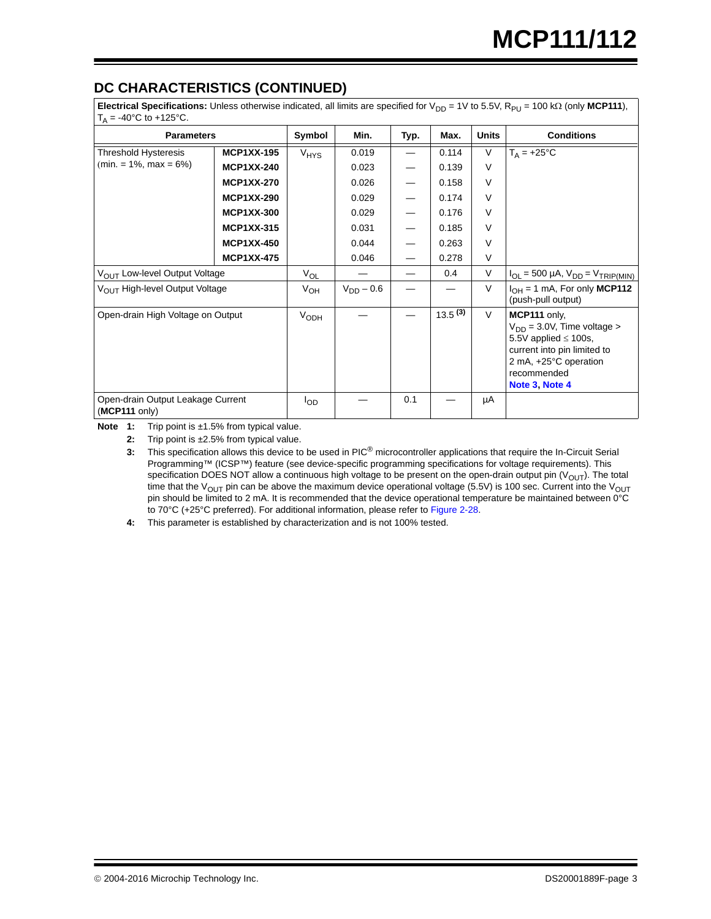# **DC CHARACTERISTICS (CONTINUED)**

**Electrical Specifications:** Unless otherwise indicated, all limits are specified for  $V_{DD} = 1V$  to 5.5V, R<sub>PU</sub> = 100 k $\Omega$  (only MCP111),  $T_0 = -40^{\circ}$ C to  $+125^{\circ}$ C.

| $-10$ $-10$ $-120$ $-1$                                      |                   |                  |                |      |              |              |                                                                                                                                                                       |  |  |
|--------------------------------------------------------------|-------------------|------------------|----------------|------|--------------|--------------|-----------------------------------------------------------------------------------------------------------------------------------------------------------------------|--|--|
| <b>Parameters</b>                                            |                   | Symbol           | Min.           | Typ. | Max.         | <b>Units</b> | <b>Conditions</b>                                                                                                                                                     |  |  |
| Threshold Hysteresis                                         | <b>MCP1XX-195</b> | V <sub>HYS</sub> | 0.019          |      | 0.114        | V            | $T_A = +25$ °C                                                                                                                                                        |  |  |
| $(min = 1\%, max = 6\%)$                                     | <b>MCP1XX-240</b> |                  | 0.023          |      | 0.139        | $\vee$       |                                                                                                                                                                       |  |  |
|                                                              | <b>MCP1XX-270</b> |                  | 0.026          |      | 0.158        | $\vee$       |                                                                                                                                                                       |  |  |
|                                                              | <b>MCP1XX-290</b> |                  | 0.029          |      | 0.174        | V            |                                                                                                                                                                       |  |  |
|                                                              | <b>MCP1XX-300</b> |                  | 0.029          |      | 0.176        | V            |                                                                                                                                                                       |  |  |
|                                                              | <b>MCP1XX-315</b> |                  | 0.031          |      | 0.185        | V            |                                                                                                                                                                       |  |  |
|                                                              | <b>MCP1XX-450</b> |                  | 0.044          |      | 0.263        | $\vee$       |                                                                                                                                                                       |  |  |
|                                                              | <b>MCP1XX-475</b> |                  | 0.046          |      | 0.278        | V            |                                                                                                                                                                       |  |  |
| V <sub>OUT</sub> Low-level Output Voltage                    |                   | $V_{OL}$         |                |      | 0.4          | V            | $I_{OL}$ = 500 µA, $V_{DD}$ = $V_{TRIP(MIN)}$                                                                                                                         |  |  |
| V <sub>OUT</sub> High-level Output Voltage                   |                   | V <sub>OH</sub>  | $V_{DD} - 0.6$ |      |              | $\vee$       | $I_{OH} = 1$ mA, For only MCP112<br>(push-pull output)                                                                                                                |  |  |
| Open-drain High Voltage on Output                            |                   | V <sub>ODH</sub> |                |      | $13.5^{(3)}$ | $\vee$       | MCP111 only.<br>$V_{DD}$ = 3.0V, Time voltage ><br>5.5V applied $\leq$ 100s,<br>current into pin limited to<br>2 mA, +25°C operation<br>recommended<br>Note 3, Note 4 |  |  |
| Open-drain Output Leakage Current<br>$(MCP111 \text{ only})$ |                   | $I_{OD}$         |                | 0.1  |              | μA           |                                                                                                                                                                       |  |  |

Note 1: Trip point is ±1.5% from typical value.

**2:** Trip point is ±2.5% from typical value.

**3:** This specification allows this device to be used in PIC® microcontroller applications that require the In-Circuit Serial Programming™ (ICSP™) feature (see device-specific programming specifications for voltage requirements). This specification DOES NOT allow a continuous high voltage to be present on the open-drain output pin  $(V<sub>OUT</sub>)$ . The total time that the V<sub>OUT</sub> pin can be above the maximum device operational voltage (5.5V) is 100 sec. Current into the V<sub>OUT</sub> pin should be limited to 2 mA. It is recommended that the device operational temperature be maintained between 0°C to 70°C (+25°C preferred). For additional information, please refer to Figure 2-28.

**4:** This parameter is established by characterization and is not 100% tested.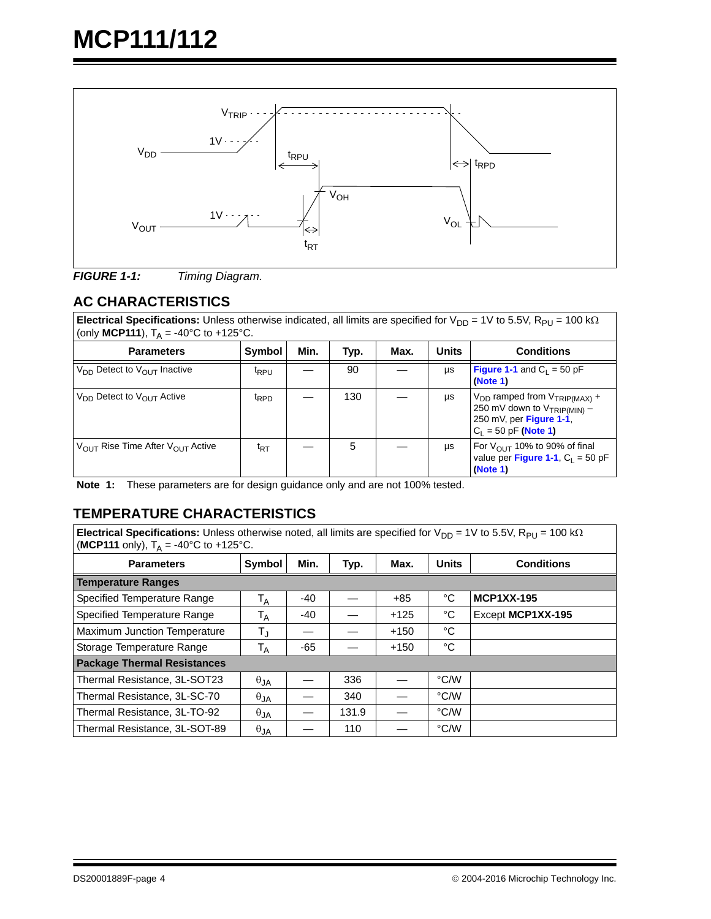

<span id="page-3-0"></span>

### **AC CHARACTERISTICS**

**Electrical Specifications:** Unless otherwise indicated, all limits are specified for  $V_{DD} = 1V$  to 5.5V,  $R_{PU} = 100$  k $\Omega$ (only **MCP111**),  $T_A = -40^{\circ}$ C to  $+125^{\circ}$ C.

| <b>Parameters</b>                                        | Symbol            | Min. | Typ. | Max. | <b>Units</b> | <b>Conditions</b>                                                                                                               |
|----------------------------------------------------------|-------------------|------|------|------|--------------|---------------------------------------------------------------------------------------------------------------------------------|
| $V_{DD}$ Detect to $V_{OIII}$ Inactive                   | <sup>t</sup> RPU  |      | 90   |      | μs           | <b>Figure 1-1</b> and $C_1 = 50$ pF<br>(Note 1)                                                                                 |
| $V_{DD}$ Detect to $V_{OIII}$ Active                     | <sup>t</sup> RPD  |      | 130  |      | μs           | $V_{DD}$ ramped from $V_{TRIP(MAX)}$ +<br>250 mV down to $V_{TRIP(MIN)}$ -<br>250 mV, per Figure 1-1,<br>$C_1 = 50$ pF (Note 1) |
| $V_{\text{OUT}}$ Rise Time After $V_{\text{OUT}}$ Active | $t_{\mathsf{RT}}$ |      | 5    |      | μs           | For $V_{OUT}$ 10% to 90% of final<br>value per Figure 1-1, $C_1 = 50$ pF<br>(Note 1)                                            |

<span id="page-3-1"></span>**Note 1:** These parameters are for design guidance only and are not 100% tested.

### **TEMPERATURE CHARACTERISTICS**

**Electrical Specifications:** Unless otherwise noted, all limits are specified for  $V_{DD} = 1V$  to 5.5V,  $R_{PU} = 100$  k $\Omega$ **(MCP111** only),  $T_A = -40^{\circ}$ C to  $+125^{\circ}$ C.

| <i></i> n                          |               |       |       |        |              |                   |  |  |
|------------------------------------|---------------|-------|-------|--------|--------------|-------------------|--|--|
| <b>Parameters</b>                  | Symbol        | Min.  | Typ.  | Max.   | <b>Units</b> | <b>Conditions</b> |  |  |
| <b>Temperature Ranges</b>          |               |       |       |        |              |                   |  |  |
| Specified Temperature Range        | $T_A$         | $-40$ |       | $+85$  | °C           | <b>MCP1XX-195</b> |  |  |
| Specified Temperature Range        | $T_A$         | $-40$ |       | $+125$ | °C           | Except MCP1XX-195 |  |  |
| Maximum Junction Temperature       | $T_{\rm J}$   |       |       | $+150$ | °C           |                   |  |  |
| Storage Temperature Range          | $T_A$         | $-65$ |       | $+150$ | °C           |                   |  |  |
| <b>Package Thermal Resistances</b> |               |       |       |        |              |                   |  |  |
| Thermal Resistance, 3L-SOT23       | $\theta_{JA}$ |       | 336   |        | °C/W         |                   |  |  |
| Thermal Resistance, 3L-SC-70       | $\theta_{JA}$ |       | 340   |        | °C/W         |                   |  |  |
| Thermal Resistance, 3L-TO-92       | $\theta_{JA}$ |       | 131.9 |        | °C/W         |                   |  |  |
| Thermal Resistance, 3L-SOT-89      | $\theta_{JA}$ |       | 110   |        | °C/W         |                   |  |  |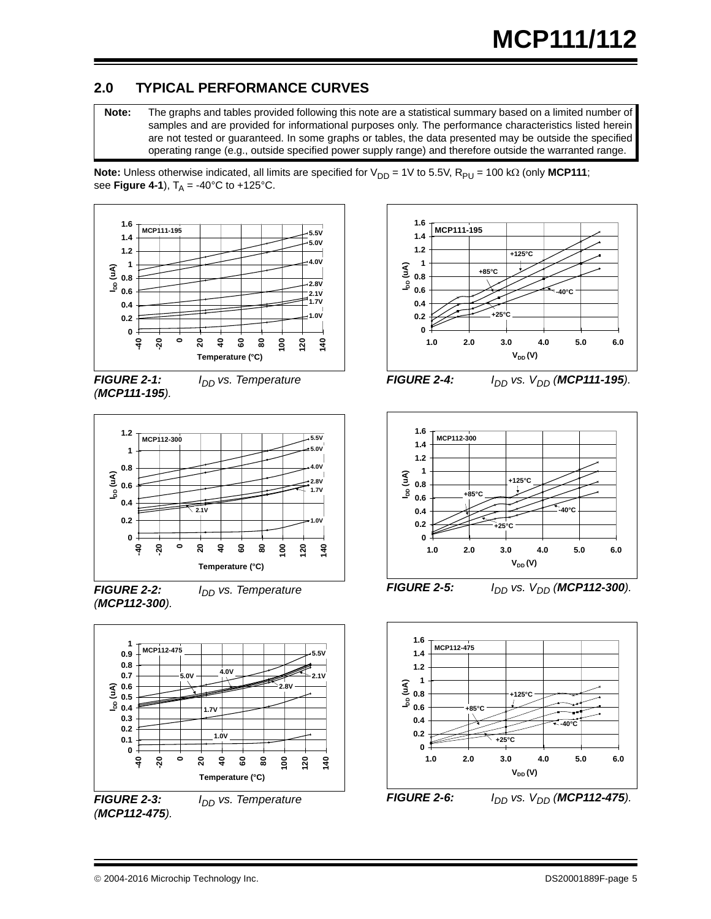## **2.0 TYPICAL PERFORMANCE CURVES**

**Note:** The graphs and tables provided following this note are a statistical summary based on a limited number of samples and are provided for informational purposes only. The performance characteristics listed herein are not tested or guaranteed. In some graphs or tables, the data presented may be outside the specified operating range (e.g., outside specified power supply range) and therefore outside the warranted range.

**Note:** Unless otherwise indicated, all limits are specified for  $V_{DD} = 1V$  to 5.5V,  $R_{PU} = 100$  k $\Omega$  (only MCP111; see **Figure 4-1**),  $T_A = -40^{\circ}C$  to  $+125^{\circ}C$ .



*FIGURE 2-1: I<sub>DD</sub> vs. Temperature (MCP111-195).*



*FIGURE 2-2: I<sub>DD</sub> vs. Temperature (MCP112-300).*



*FIGURE 2-3: I<sub>DD</sub> vs. Temperature (MCP112-475).*



*FIGURE 2-4: I<sub>DD</sub> vs. V<sub>DD</sub> (MCP111-195).* 



*FIGURE 2-5: I<sub>DD</sub> vs. V<sub>DD</sub> (MCP112-300).* 



*FIGURE 2-6: I<sub>DD</sub> vs. V<sub>DD</sub> (MCP112-475).*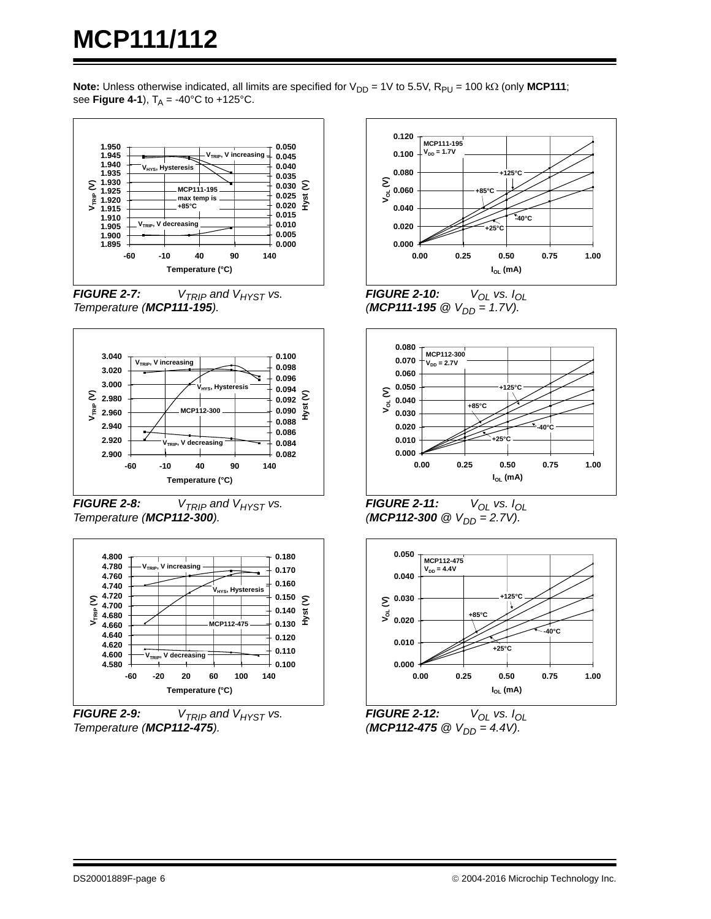**Note:** Unless otherwise indicated, all limits are specified for  $V_{DD} = 1V$  to 5.5V,  $R_{PU} = 100$  k $\Omega$  (only **MCP111**; see **Figure 4-1**),  $T_A = -40^{\circ}C$  to  $+125^{\circ}C$ .



*FIGURE 2-7:*  $V_{TRIP}$  and  $V_{HYST}$  vs. *Temperature (MCP111-195).*



*FIGURE 2-8:*  $V_{TRIP}$  and  $V_{HYST}$  vs. *Temperature (MCP112-300).*



*FIGURE 2-9:*  $V_{TRIP}$  and  $V_{HYST}$  vs. *Temperature (MCP112-475).*



*FIGURE 2-10:*  $V_{OL}$  vs.  $I_{OL}$  $(MCP111-195 \text{ @ } V_{DD} = 1.7V).$ 



*FIGURE 2-11:*  $V_{OL}$  vs.  $I_{OL}$  $(MCP112-300 \ @V_{DD} = 2.7V).$ 



*FIGURE 2-12:*  $V_{OL}$  vs.  $I_{OL}$  $(MCP112-475 \text{ @ } V_{DD} = 4.4V$ ).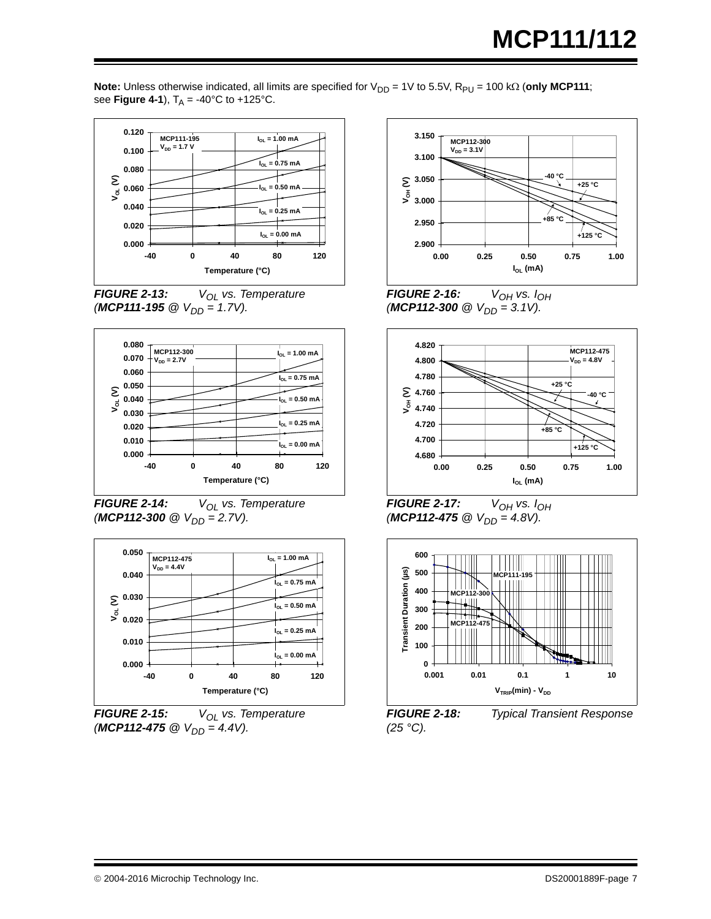**Note:** Unless otherwise indicated, all limits are specified for  $V_{DD} = 1V$  to 5.5V, R<sub>PU</sub> = 100 k $\Omega$  (only MCP111; see **Figure 4-1**),  $T_A = -40^{\circ}C$  to  $+125^{\circ}C$ .











*FIGURE 2-15: V*<sub>OL</sub> vs. Temperature  $(MCP112-475 \text{ @ } V_{DD} = 4.4V$ ).



*FIGURE 2-16:*  $V_{OH}$  vs.  $I_{OH}$  $(MCP112-300 \ @V_{DD} = 3.1V)$ .



*FIGURE 2-17:*  $V_{OH}$  vs.  $I_{OH}$  $(MCP112-475 \text{ @ } V_{DD} = 4.8V).$ 



<span id="page-6-0"></span>*FIGURE 2-18: Typical Transient Response (25 °C).*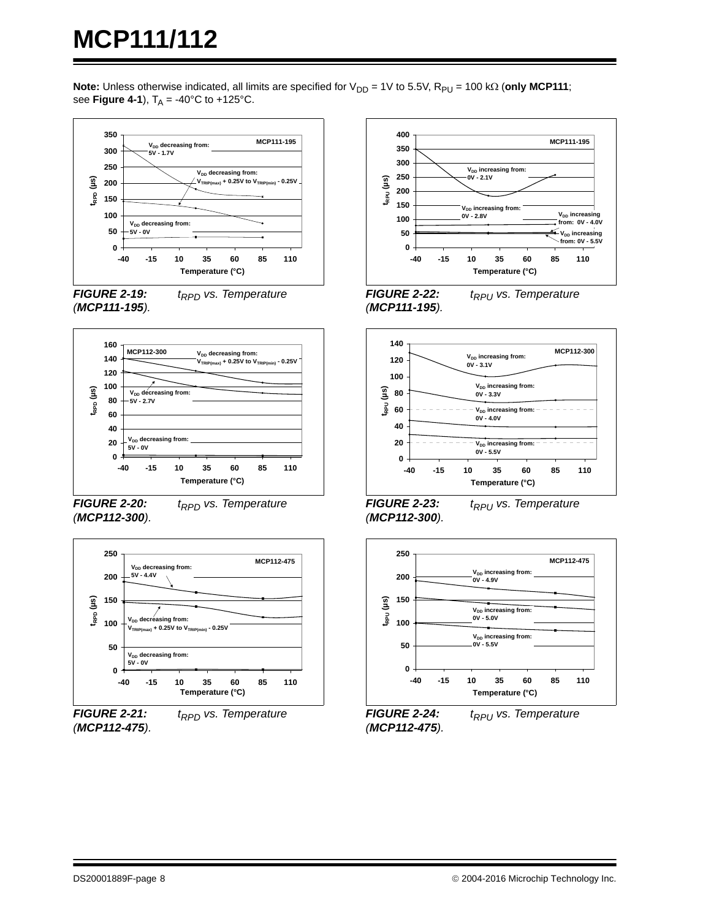**Note:** Unless otherwise indicated, all limits are specified for  $V_{DD} = 1V$  to 5.5V,  $R_{PU} = 100$  k $\Omega$  (only MCP111; see **Figure 4-1**),  $T_A = -40^{\circ}C$  to  $+125^{\circ}C$ .



*FIGURE 2-19: t<sub>RPD</sub>* vs. Temperature *(MCP111-195).*



*FIGURE 2-20: t<sub>RPD</sub>* vs. Temperature *(MCP112-300).*



*FIGURE 2-21: t<sub>RPD</sub>* vs. Temperature *(MCP112-475).*



*(MCP111-195).*

<span id="page-7-0"></span>



<span id="page-7-1"></span>*FIGURE 2-23: t<sub>RPU</sub>* vs. Temperature *(MCP112-300).*



<span id="page-7-2"></span>*FIGURE 2-24: t<sub>RPU</sub>* vs. Temperature *(MCP112-475).*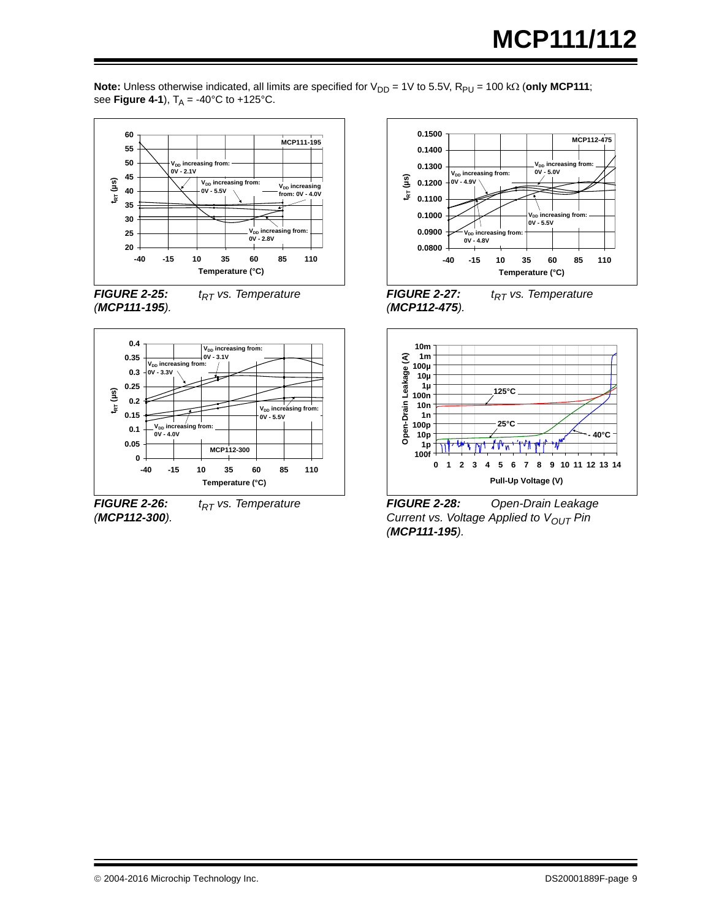**Note:** Unless otherwise indicated, all limits are specified for  $V_{DD} = 1V$  to 5.5V,  $R_{PU} = 100$  k $\Omega$  (only MCP111; see **Figure 4-1**),  $T_A = -40^{\circ}C$  to  $+125^{\circ}C$ .







*FIGURE 2-26: t<sub>RT</sub>* vs. Temperature *(MCP112-300).*





*FIGURE 2-27: t<sub>RT</sub>* vs. Temperature *(MCP112-475).*



<span id="page-8-0"></span>*FIGURE 2-28: Open-Drain Leakage Current vs. Voltage Applied to V<sub>OUT</sub> Pin (MCP111-195).*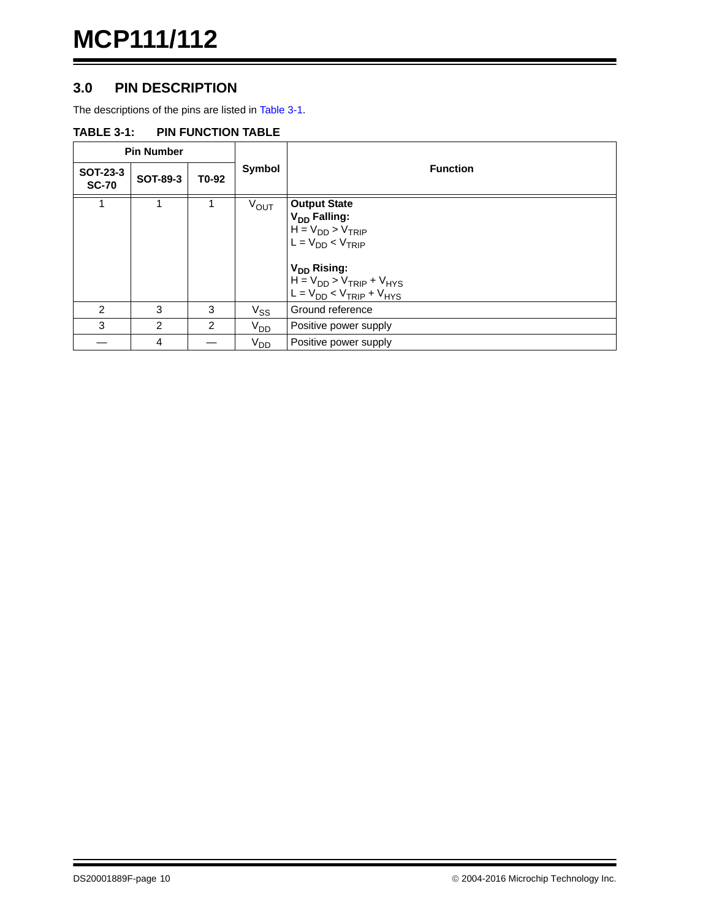#### **3.0 PIN DESCRIPTION**

The descriptions of the pins are listed in [Table 3-1.](#page-9-0)

#### <span id="page-9-1"></span><span id="page-9-0"></span>**TABLE 3-1: PIN FUNCTION TABLE**

|                          | <b>Pin Number</b> |                |                  |                                                                                                                                                                                                            |  |
|--------------------------|-------------------|----------------|------------------|------------------------------------------------------------------------------------------------------------------------------------------------------------------------------------------------------------|--|
| SOT-23-3<br><b>SC-70</b> | <b>SOT-89-3</b>   | T0-92          | Symbol           | <b>Function</b>                                                                                                                                                                                            |  |
| 1                        |                   |                | $V_{\text{OUT}}$ | <b>Output State</b><br>V <sub>DD</sub> Falling:<br>$H = V_{DD} > V_{TRIP}$<br>$L = V_{DD} < V_{TRIP}$<br>V <sub>DD</sub> Rising:<br>$H = V_{DD} > V_{TRIP} + V_{HYS}$<br>$L = V_{DD} < V_{TRIP} + V_{HYS}$ |  |
| $\mathcal{P}$            | 3                 | 3              | $V_{SS}$         | Ground reference                                                                                                                                                                                           |  |
| 3                        | $\overline{2}$    | $\overline{2}$ | V <sub>DD</sub>  | Positive power supply                                                                                                                                                                                      |  |
|                          | 4                 |                | V <sub>DD</sub>  | Positive power supply                                                                                                                                                                                      |  |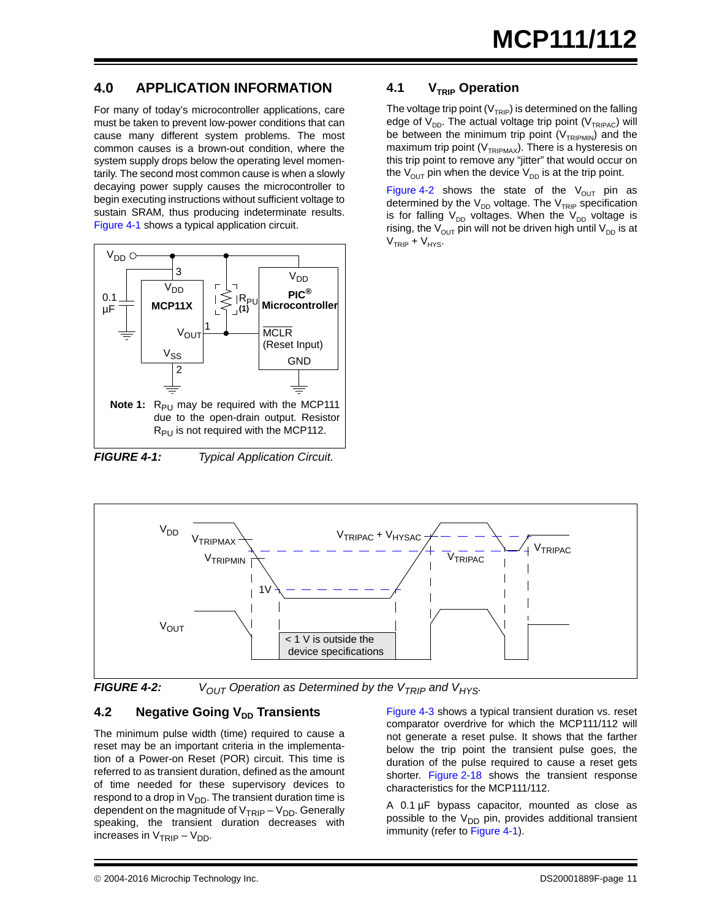### **4.0 APPLICATION INFORMATION**

For many of today's microcontroller applications, care must be taken to prevent low-power conditions that can cause many different system problems. The most common causes is a brown-out condition, where the system supply drops below the operating level momentarily. The second most common cause is when a slowly decaying power supply causes the microcontroller to begin executing instructions without sufficient voltage to sustain SRAM, thus producing indeterminate results. [Figure 4-1](#page-10-0) shows a typical application circuit.



<span id="page-10-0"></span>*FIGURE 4-1: Typical Application Circuit.*

#### **4.1 V<sub>TRIP</sub>** Operation

The voltage trip point ( $V<sub>TRIP</sub>$ ) is determined on the falling edge of  $V_{DD}$ . The actual voltage trip point ( $V_{TRIPAC}$ ) will be between the minimum trip point  $(V_{TRIPMIN})$  and the maximum trip point ( $V_{TRIPMAX}$ ). There is a hysteresis on this trip point to remove any "jitter" that would occur on the  $V_{\text{OUT}}$  pin when the device  $V_{\text{DD}}$  is at the trip point.

[Figure 4-2](#page-10-1) shows the state of the  $V_{OUT}$  pin as determined by the  $V_{DD}$  voltage. The  $V_{TRIP}$  specification is for falling  $V_{DD}$  voltages. When the  $V_{DD}$  voltage is rising, the  $V_{\text{OUT}}$  pin will not be driven high until  $V_{\text{DD}}$  is at  $V<sub>TRIP</sub> + V<sub>HYS</sub>$ .



<span id="page-10-1"></span>

**FIGURE 4-2:**  $V_{OUT}$  Operation as Determined by the  $V_{TRIP}$  and  $V_{HYS}$ .

#### **4.2 Negative Going V<sub>DD</sub> Transients**

The minimum pulse width (time) required to cause a reset may be an important criteria in the implementation of a Power-on Reset (POR) circuit. This time is referred to as transient duration, defined as the amount of time needed for these supervisory devices to respond to a drop in  $V_{DD}$ . The transient duration time is dependent on the magnitude of  $V_{TRIP} - V_{DD}$ . Generally speaking, the transient duration decreases with increases in  $V_{TRIP} - V_{DD}$ .

[Figure 4-3](#page-11-0) shows a typical transient duration vs. reset comparator overdrive for which the MCP111/112 will not generate a reset pulse. It shows that the farther below the trip point the transient pulse goes, the duration of the pulse required to cause a reset gets shorter. [Figure 2-18](#page-6-0) shows the transient response characteristics for the MCP111/112.

A 0.1 µF bypass capacitor, mounted as close as possible to the  $V_{DD}$  pin, provides additional transient immunity (refer to [Figure 4-1](#page-10-0)).

 <sup>2004-2016</sup> Microchip Technology Inc. DS20001889F-page 11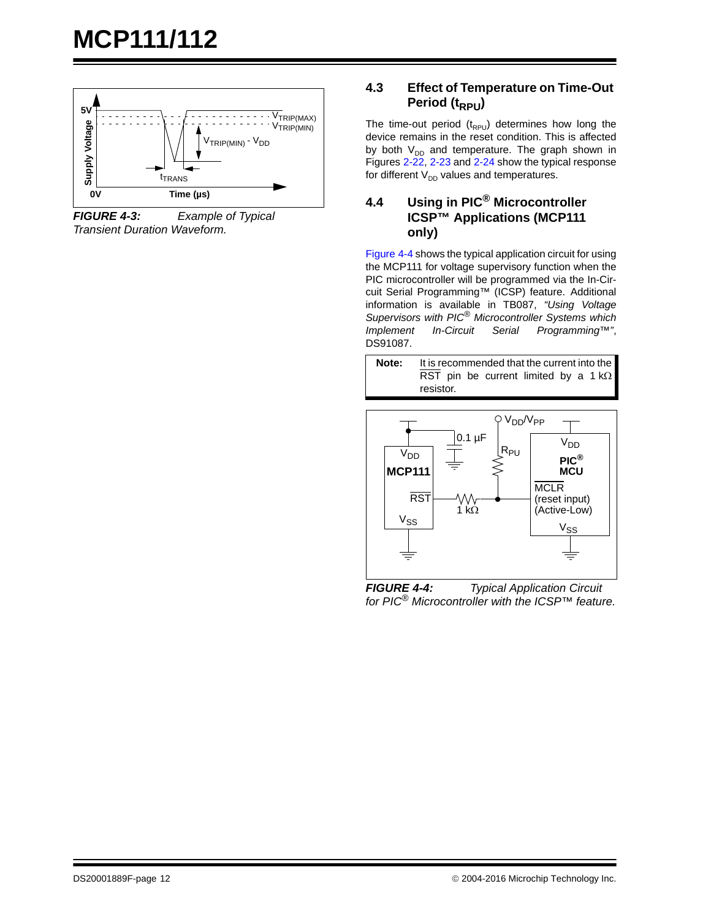

<span id="page-11-0"></span>*FIGURE 4-3: Example of Typical Transient Duration Waveform.*

#### **4.3 Effect of Temperature on Time-Out Period (t<sub>RPU</sub>)**

The time-out period  $(t_{RPU})$  determines how long the device remains in the reset condition. This is affected by both  $V_{DD}$  and temperature. The graph shown in Figures [2-22](#page-7-0), [2-23](#page-7-1) and [2-24](#page-7-2) show the typical response for different  $V_{DD}$  values and temperatures.

#### <span id="page-11-2"></span>**4.4 Using in PIC® Microcontroller ICSP™ Applications (MCP111 only)**

[Figure 4-4](#page-11-1) shows the typical application circuit for using the MCP111 for voltage supervisory function when the PIC microcontroller will be programmed via the In-Circuit Serial Programming™ (ICSP) feature. Additional information is available in TB087, *"Using Voltage Supervisors with PIC® Microcontroller Systems which Implement In-Circuit Serial Programming™"*, DS91087.





<span id="page-11-1"></span>*FIGURE 4-4: Typical Application Circuit for PIC® Microcontroller with the ICSP™ feature.*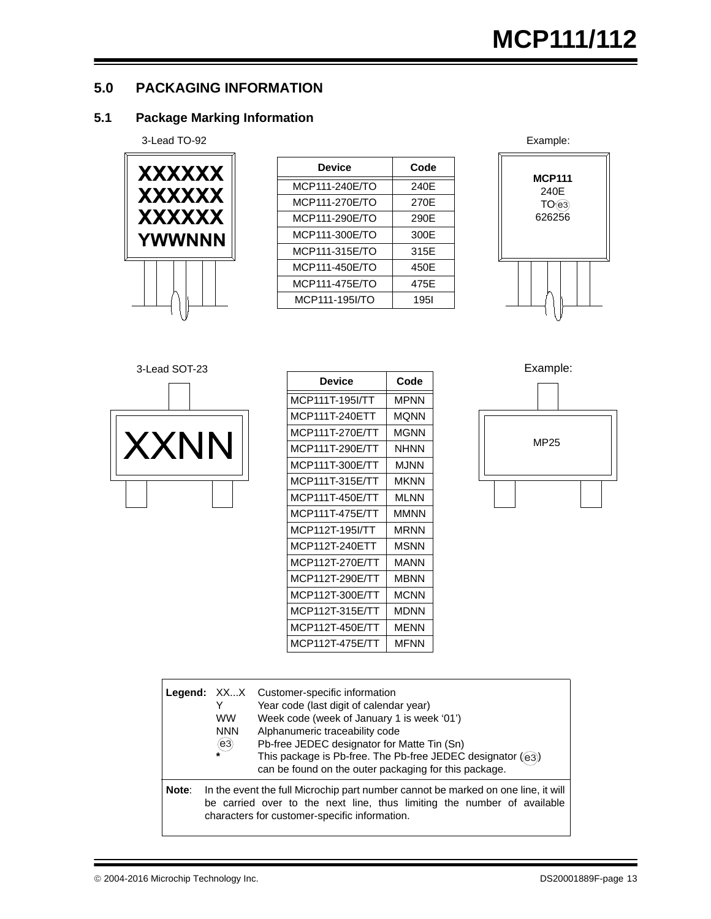#### <span id="page-12-0"></span>**5.0 PACKAGING INFORMATION**

### **5.1 Package Marking Information**



| XXXXXX        | <b>Device</b>  | Code        |                       |
|---------------|----------------|-------------|-----------------------|
|               | MCP111-240E/TO | 240E        | <b>MCP111</b><br>240E |
| <b>XXXXXX</b> | MCP111-270E/TO | 270E        | TO(63)                |
| <b>XXXXXX</b> | MCP111-290E/TO | 290E        | 626256                |
| <b>YWWNNN</b> | MCP111-300E/TO | 300E        |                       |
|               | MCP111-315E/TO | 315E        |                       |
|               | MCP111-450E/TO | 450E        |                       |
|               | MCP111-475E/TO | 475E        |                       |
|               | MCP111-195I/TO | <b>1951</b> |                       |
|               |                |             |                       |







|      | <b>Device</b>   | Code        |      |
|------|-----------------|-------------|------|
|      | MCP111T-195I/TT | <b>MPNN</b> |      |
|      | MCP111T-240ETT  | <b>MQNN</b> |      |
|      | MCP111T-270E/TT | <b>MGNN</b> |      |
| XXNN | MCP111T-290E/TT | <b>NHNN</b> | MP25 |
|      | MCP111T-300E/TT | <b>MJNN</b> |      |
|      | MCP111T-315E/TT | <b>MKNN</b> |      |
|      | MCP111T-450E/TT | <b>MLNN</b> |      |
|      | MCP111T-475E/TT | <b>MMNN</b> |      |
|      | MCP112T-195I/TT | <b>MRNN</b> |      |
|      | MCP112T-240ETT  | <b>MSNN</b> |      |
|      | MCP112T-270E/TT | <b>MANN</b> |      |
|      | MCP112T-290E/TT | <b>MBNN</b> |      |
|      | MCP112T-300E/TT | <b>MCNN</b> |      |
|      | MCP112T-315E/TT | <b>MDNN</b> |      |
|      | MCP112T-450E/TT | <b>MENN</b> |      |
|      | MCP112T-475E/TT | <b>MFNN</b> |      |
|      |                 |             |      |

Example:



|       | Y<br><b>WW</b><br><b>NNN</b><br>(e3) | <b>Legend:</b> XXX Customer-specific information<br>Year code (last digit of calendar year)<br>Week code (week of January 1 is week '01')<br>Alphanumeric traceability code<br>Pb-free JEDEC designator for Matte Tin (Sn)<br>This package is Pb-free. The Pb-free JEDEC designator ((e3))<br>can be found on the outer packaging for this package. |
|-------|--------------------------------------|-----------------------------------------------------------------------------------------------------------------------------------------------------------------------------------------------------------------------------------------------------------------------------------------------------------------------------------------------------|
| Note: |                                      | In the event the full Microchip part number cannot be marked on one line, it will<br>be carried over to the next line, thus limiting the number of available<br>characters for customer-specific information.                                                                                                                                       |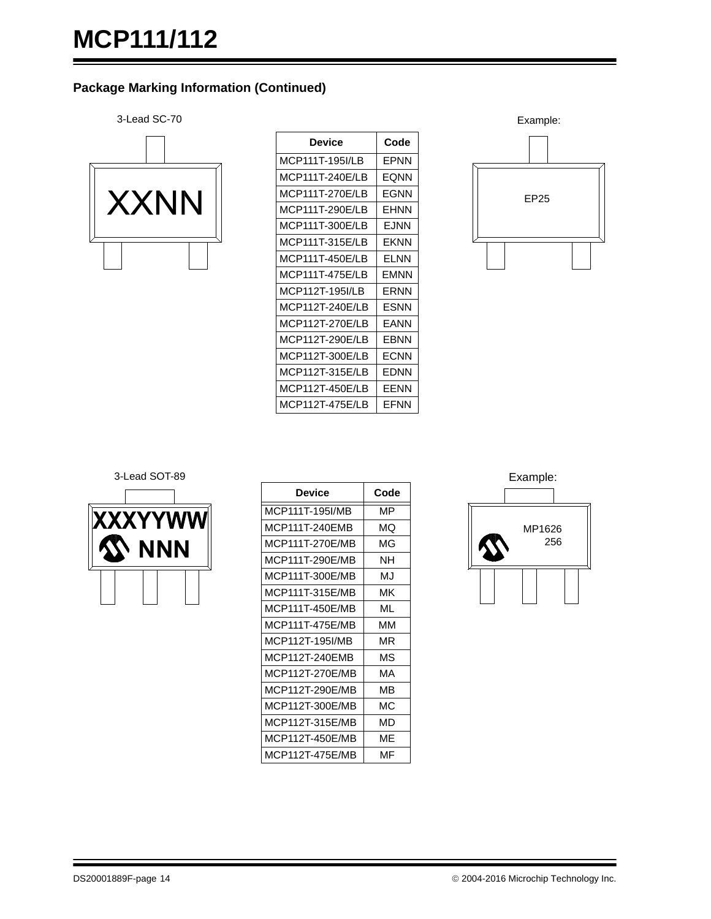#### **Package Marking Information (Continued)**



| Device          | Code  |
|-----------------|-------|
| MCP111T-195I/LB | FPNN  |
| MCP111T-240E/LB | EONN  |
| MCP111T-270E/LB | EGNN  |
| MCP111T-290E/LB | EHNN  |
| MCP111T-300E/LB | F.INN |
| MCP111T-315E/LB | FKNN  |
| MCP111T-450E/LB | FI NN |
| MCP111T-475F/LB | FMNN  |
| MCP112T-195I/LB | FRNN  |
| MCP112T-240E/LB | ESNN  |
| MCP112T-270E/LB | FANN  |
| MCP112T-290E/LB | EBNN  |
| MCP112T-300E/LB | FCNN  |
| MCP112T-315E/LB | FDNN  |
| MCP112T-450E/LB | EENN  |
| MCP112T-475F/LB | FFNN  |





| Device          | Code |
|-----------------|------|
| MCP111T-195I/MB | МP   |
| MCP111T-240EMB  | ΜQ   |
| MCP111T-270E/MB | ΜG   |
| MCP111T-290E/MB | NΗ   |
| MCP111T-300E/MB | M.I  |
| MCP111T-315E/MB | МK   |
| MCP111T-450E/MB | ML   |
| MCP111T-475E/MB | мм   |
| MCP112T-195I/MB | ΜR   |
| MCP112T-240EMB  | ΜS   |
| MCP112T-270E/MB | МA   |
| MCP112T-290E/MB | MВ   |
| MCP112T-300E/MB | МC   |
| MCP112T-315E/MB | MD   |
| MCP112T-450E/MB | MF   |
| MCP112T-475E/MB | MF   |

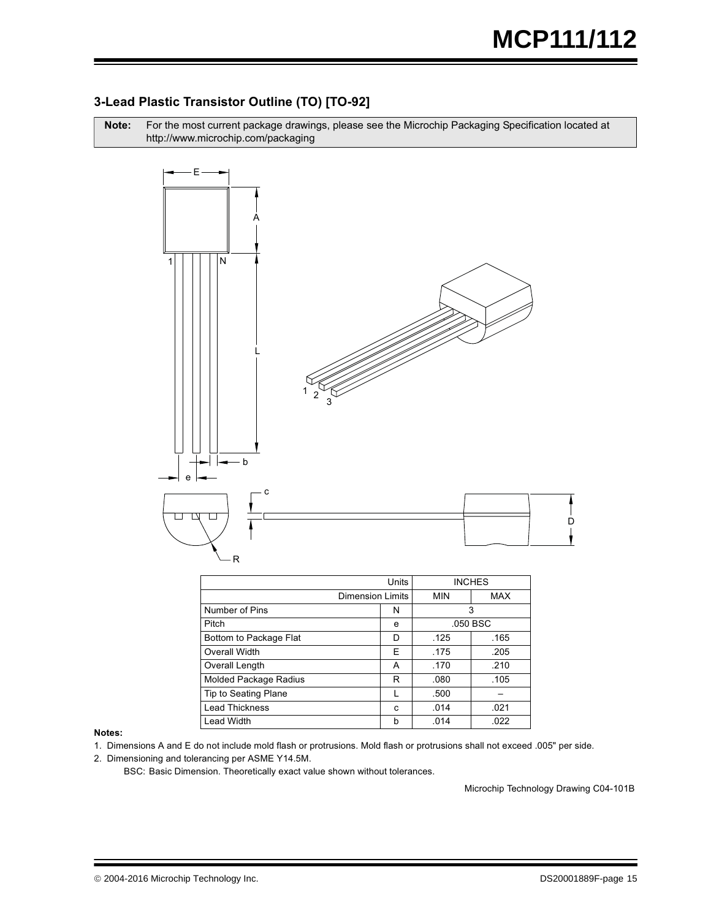#### 3-Lead Plastic Transistor Outline (TO) [TO-92]

Note: r the most current package drawings, please see the Microchip Packaging Specification located at http://www.microchip.com/packaging



|                              |   | <b>INCHES</b> |            |
|------------------------------|---|---------------|------------|
| <b>Dimension Limits</b>      |   | <b>MIN</b>    | <b>MAX</b> |
| Number of Pins               | N | 3             |            |
| Pitch                        | e | .050 BSC      |            |
| Bottom to Package Flat       | D | .125          | .165       |
| Overall Width                | E | .175          | .205       |
| Overall Length               | A | .210<br>.170  |            |
| <b>Molded Package Radius</b> | R | .105<br>.080  |            |
| Tip to Seating Plane         |   | .500          |            |
| <b>Lead Thickness</b>        | C | .014          | .021       |
| <b>Lead Width</b>            | b | .014          | .022       |

#### Notes:

- 1. Dimensions A and E do not include mold flash or protrusions. Mold flash or protrusions shall not exceed .005" per side.
- 2. Dimensioning and tolerancing per ASME Y14.5M.

BSC: Basic Dimension. Theoretically exact value shown without tolerances.

Microchip Technology Drawing C04-101B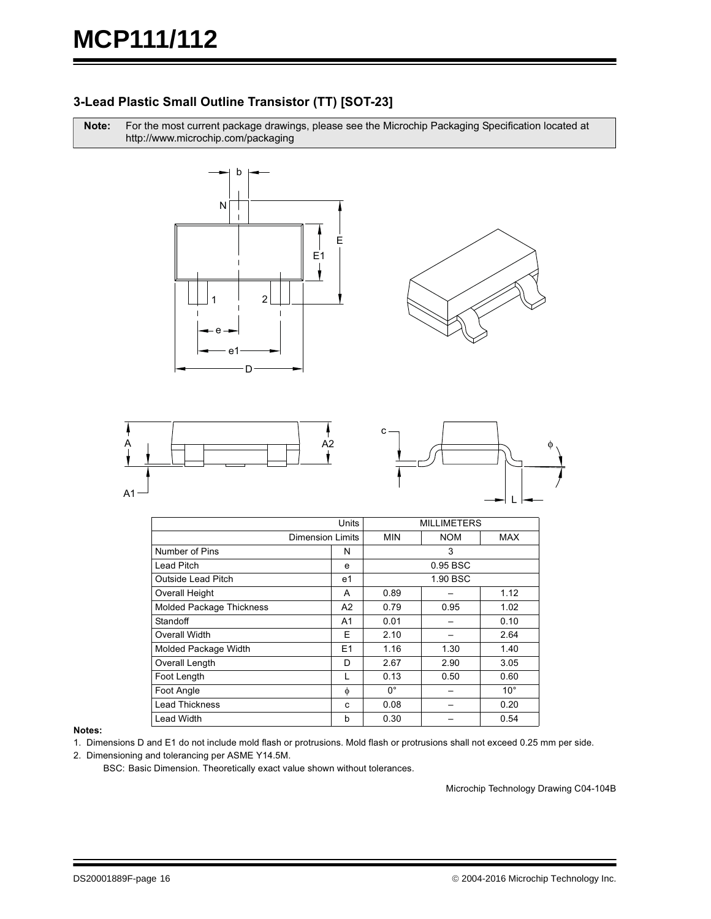#### 3-Lead Plastic Small Outline Transistor (TT) [SOT-23]

Note: r the most current package drawings, please see the Microchip Packaging Specification located at http://www.microchip.com/packaging









|                                 | Units            |              |            | <b>MILLIMETERS</b> |  |  |  |
|---------------------------------|------------------|--------------|------------|--------------------|--|--|--|
|                                 | Dimension Limits | <b>MIN</b>   | <b>NOM</b> | MAX                |  |  |  |
| Number of Pins                  | N                | 3            |            |                    |  |  |  |
| Lead Pitch                      | e                |              | $0.95$ BSC |                    |  |  |  |
| Outside Lead Pitch              | e1               |              | 1.90 BSC   |                    |  |  |  |
| Overall Height                  | A                | 1.12<br>0.89 |            |                    |  |  |  |
| <b>Molded Package Thickness</b> | A2               | 0.79         | 0.95       | 1.02               |  |  |  |
| Standoff                        | A1               | 0.01         |            | 0.10               |  |  |  |
| Overall Width                   | F                | 2.10         |            | 2.64               |  |  |  |
| Molded Package Width            | E1               | 1.16         | 1.30       | 1.40               |  |  |  |
| Overall Length                  | D                | 2.67         | 2.90       | 3.05               |  |  |  |
| Foot Length                     |                  | 0.13         | 0.50       | 0.60               |  |  |  |
| Foot Angle                      | φ                | $0^{\circ}$  |            | $10^{\circ}$       |  |  |  |
| <b>Lead Thickness</b>           | C                | 0.08         |            | 0.20               |  |  |  |
| <b>Lead Width</b>               | b                | 0.30         |            | 0.54               |  |  |  |

#### Notes:

1. Dimensions D and E1 do not include mold flash or protrusions. Mold flash or protrusions shall not exceed 0.25 mm per side.

2. Dimensioning and tolerancing per ASME Y14.5M.

BSC: Basic Dimension. Theoretically exact value shown without tolerances.

Microchip Technology Drawing C04-104B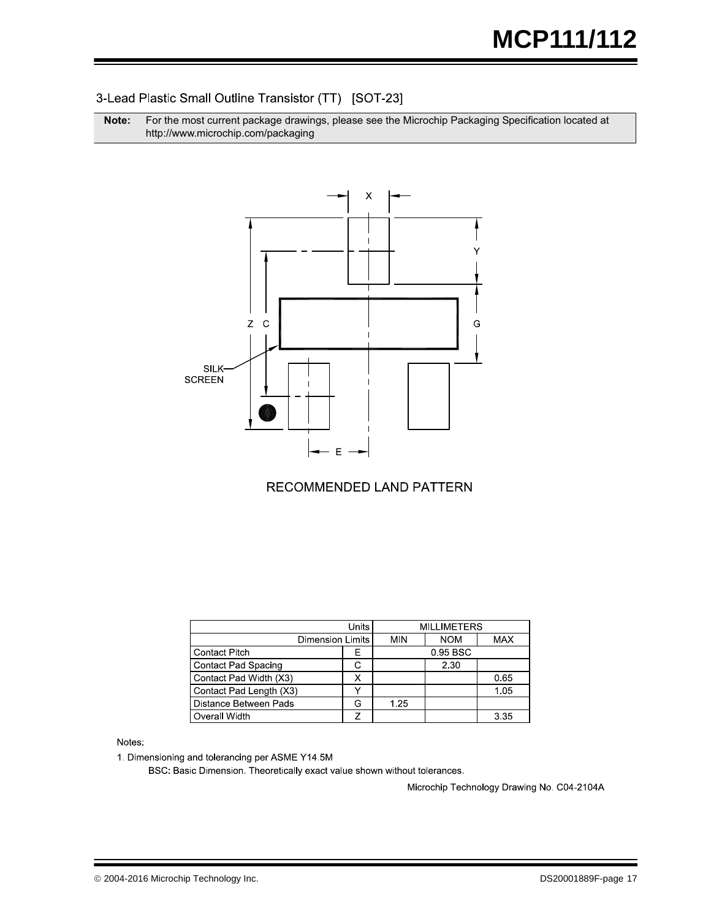#### 3-Lead Plastic Small Outline Transistor (TT) [SOT-23]

**Note:** For the most current package drawings, please see the Microchip Packaging Specification located at http://www.microchip.com/packaging



#### **RECOMMENDED LAND PATTERN**

|                              | <b>MILLIMETERS</b>      |          |            |            |
|------------------------------|-------------------------|----------|------------|------------|
|                              | <b>Dimension Limits</b> |          | <b>NOM</b> | <b>MAX</b> |
| <b>Contact Pitch</b>         | E                       | 0.95 BSC |            |            |
| <b>Contact Pad Spacing</b>   |                         |          | 2.30       |            |
| Contact Pad Width (X3)       |                         |          |            | 0.65       |
| Contact Pad Length (X3)      |                         |          |            | 1.05       |
| <b>Distance Between Pads</b> |                         | 1.25     |            |            |
| Overall Width                |                         |          |            | 3.35       |

Notes:

1. Dimensioning and tolerancing per ASME Y14.5M

BSC: Basic Dimension. Theoretically exact value shown without tolerances.

Microchip Technology Drawing No. C04-2104A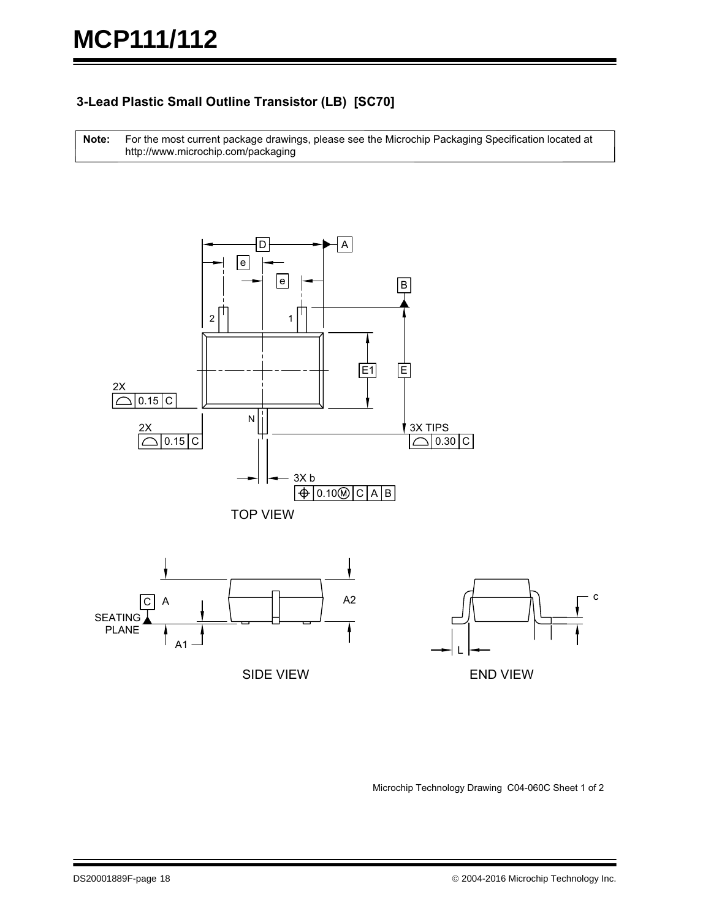### **3-Lead Plastic Small Outline Transistor (LB) [SC70]**

For the most current package drawings, please see the Microchip Packaging Specification located at http://www.microchip.com/packaging **Note:**



Microchip Technology Drawing C04-060C Sheet 1 of 2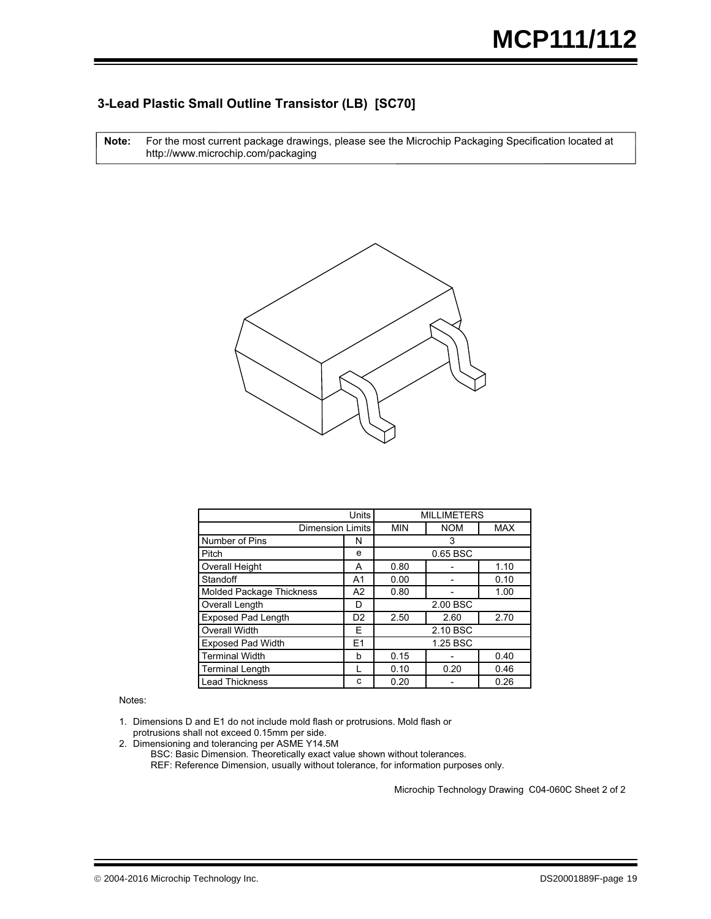#### **3-Lead Plastic Small Outline Transistor (LB) [SC70]**

For the most current package drawings, please see the Microchip Packaging Specification located at http://www.microchip.com/packaging **Note:**



|                                 | <b>MILLIMETERS</b>      |                      |          |            |  |  |
|---------------------------------|-------------------------|----------------------|----------|------------|--|--|
|                                 | <b>Dimension Limits</b> |                      |          | <b>MAX</b> |  |  |
| Number of Pins                  | N                       | 3                    |          |            |  |  |
| Pitch                           | e                       |                      | 0.65 BSC |            |  |  |
| <b>Overall Height</b>           | A                       | 0.80<br>1.10         |          |            |  |  |
| Standoff                        | A <sub>1</sub>          | 0.00                 |          | 0.10       |  |  |
| <b>Molded Package Thickness</b> | A2                      | 0.80<br>1.00         |          |            |  |  |
| Overall Length                  | D                       | 2.00 BSC             |          |            |  |  |
| <b>Exposed Pad Length</b>       | D <sub>2</sub>          | 2.50<br>2.70<br>2.60 |          |            |  |  |
| <b>Overall Width</b>            | F                       | 2.10 BSC             |          |            |  |  |
| <b>Exposed Pad Width</b>        | E <sub>1</sub>          | 1.25 BSC             |          |            |  |  |
| <b>Terminal Width</b>           | b                       | 0.15                 |          | 0.40       |  |  |
| <b>Terminal Length</b>          |                         | 0.10<br>0.20<br>0.46 |          |            |  |  |
| <b>Lead Thickness</b>           | C                       | 0.20<br>0.26         |          |            |  |  |

Notes:

1. Dimensions D and E1 do not include mold flash or protrusions. Mold flash or protrusions shall not exceed 0.15mm per side.

2. Dimensioning and tolerancing per ASME Y14.5M

REF: Reference Dimension, usually without tolerance, for information purposes only. BSC: Basic Dimension. Theoretically exact value shown without tolerances.

Microchip Technology Drawing C04-060C Sheet 2 of 2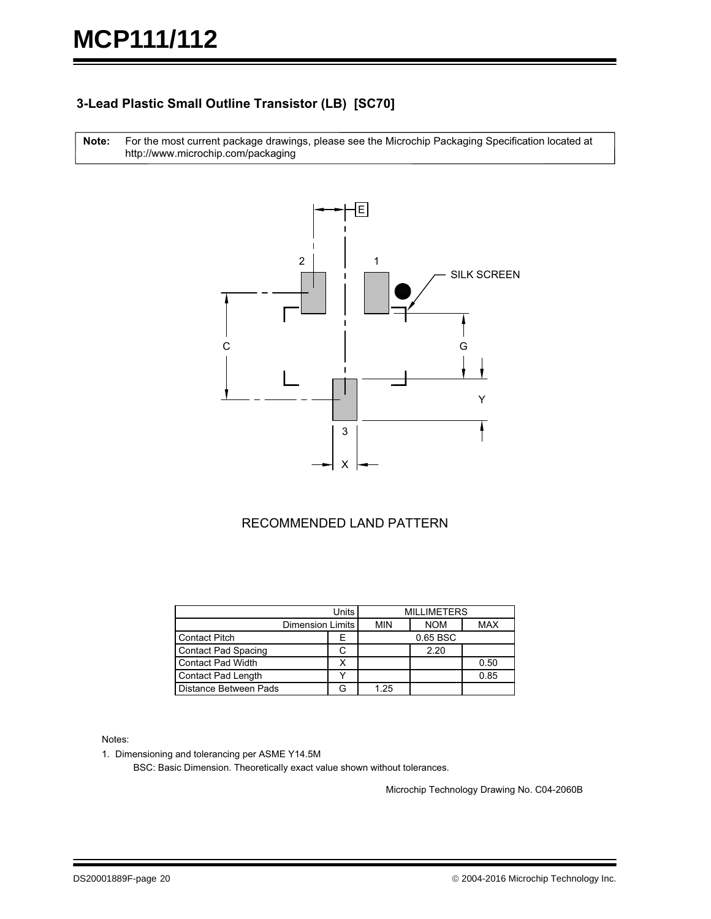#### **3-Lead Plastic Small Outline Transistor (LB) [SC70]**

For the most current package drawings, please see the Microchip Packaging Specification located at http://www.microchip.com/packaging **Note:**



#### RECOMMENDED LAND PATTERN

|                            | Units            | <b>MILLIMETERS</b> |            |            |  |
|----------------------------|------------------|--------------------|------------|------------|--|
|                            | Dimension Limits |                    | <b>NOM</b> | <b>MAX</b> |  |
| <b>Contact Pitch</b>       | ⊢                | 0.65 BSC           |            |            |  |
| <b>Contact Pad Spacing</b> |                  |                    | 2.20       |            |  |
| <b>Contact Pad Width</b>   |                  |                    |            | 0.50       |  |
| <b>Contact Pad Length</b>  |                  |                    |            | 0.85       |  |
| Distance Between Pads      |                  | 1.25               |            |            |  |

Notes:

1. Dimensioning and tolerancing per ASME Y14.5M

BSC: Basic Dimension. Theoretically exact value shown without tolerances.

Microchip Technology Drawing No. C04-2060B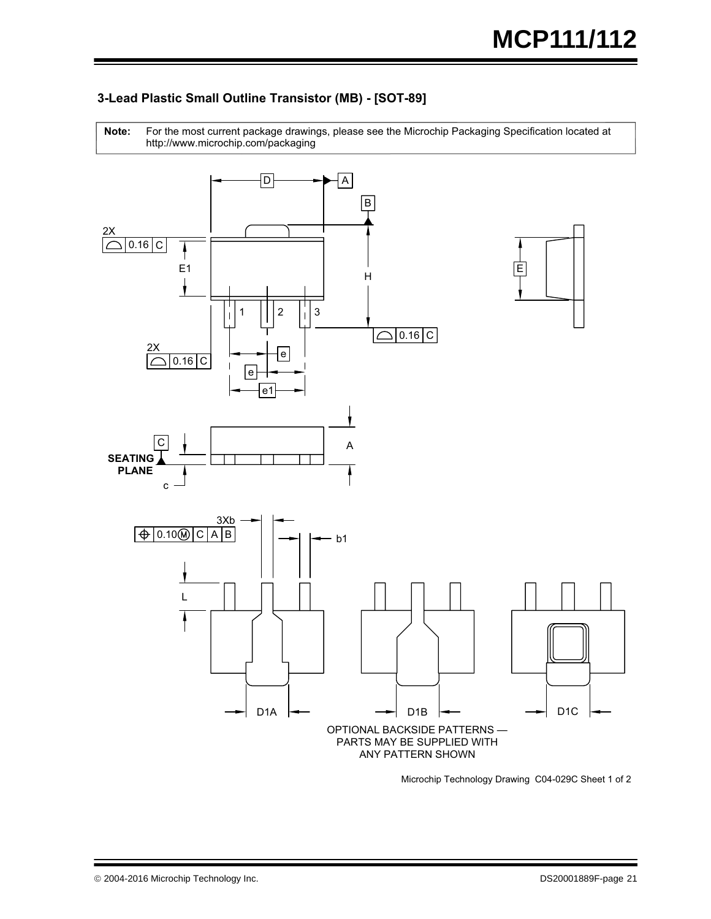

For the most current package drawings, please see the Microchip Packaging Specification located at http://www.microchip.com/packaging **Note:**



Microchip Technology Drawing C04-029C Sheet 1 of 2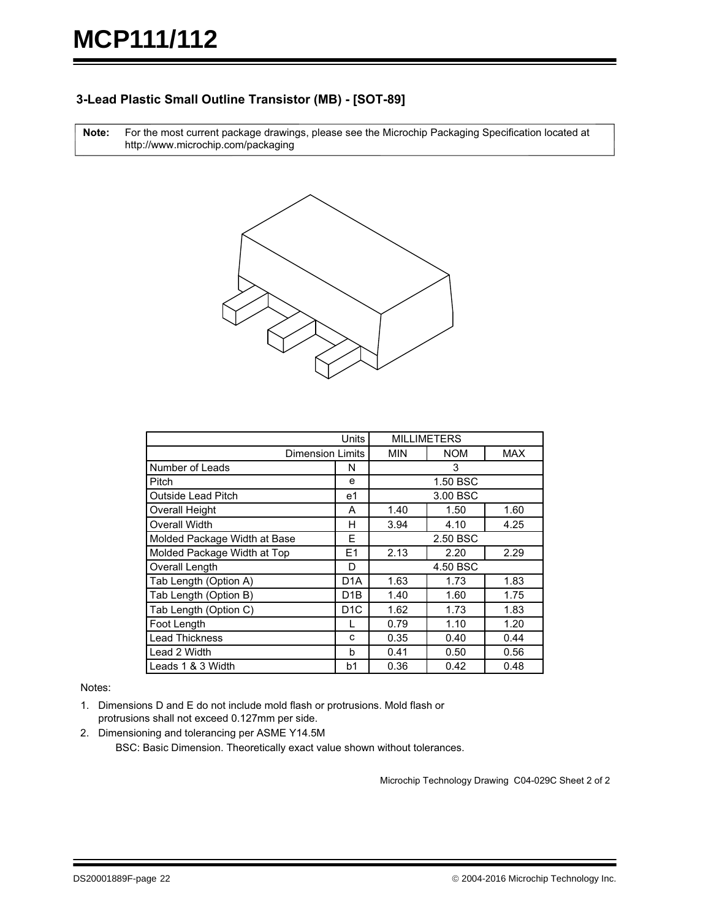#### **3-Lead Plastic Small Outline Transistor (MB) - [SOT-89]**

For the most current package drawings, please see the Microchip Packaging Specification located at http://www.microchip.com/packaging **Note:**



| Units                        |                  | <b>MILLIMETERS</b> |            |            |  |
|------------------------------|------------------|--------------------|------------|------------|--|
| <b>Dimension Limits</b>      |                  | <b>MIN</b>         | <b>NOM</b> | <b>MAX</b> |  |
| Number of Leads              | N                |                    | 3          |            |  |
| Pitch                        | e                |                    | 1.50 BSC   |            |  |
| <b>Outside Lead Pitch</b>    | e1               |                    | 3.00 BSC   |            |  |
| <b>Overall Height</b>        | A                | 1.40               | 1.50       | 1.60       |  |
| <b>Overall Width</b>         | н                | 3.94               | 4.10       | 4.25       |  |
| Molded Package Width at Base | F                | 2.50 BSC           |            |            |  |
| Molded Package Width at Top  | E1               | 2.13               | 2.20       | 2.29       |  |
| Overall Length               | D                | 4.50 BSC           |            |            |  |
| Tab Length (Option A)        | D <sub>1</sub> A | 1.63               | 1.73       | 1.83       |  |
| Tab Length (Option B)        | D <sub>1</sub> B | 1.40               | 1.60       | 1.75       |  |
| Tab Length (Option C)        | D <sub>1</sub> C | 1.62               | 1.73       | 1.83       |  |
| Foot Length                  |                  | 0.79               | 1.10       | 1.20       |  |
| <b>Lead Thickness</b>        | C                | 0.35               | 0.40       | 0.44       |  |
| Lead 2 Width<br>b            |                  | 0.41               | 0.50       | 0.56       |  |
| Leads 1 & 3 Width            | b1               | 0.36               | 0.42       | 0.48       |  |

Notes:

- 1. Dimensions D and E do not include mold flash or protrusions. Mold flash or protrusions shall not exceed 0.127mm per side.
- 2. Dimensioning and tolerancing per ASME Y14.5M

BSC: Basic Dimension. Theoretically exact value shown without tolerances.

Microchip Technology Drawing C04-029C Sheet 2 of 2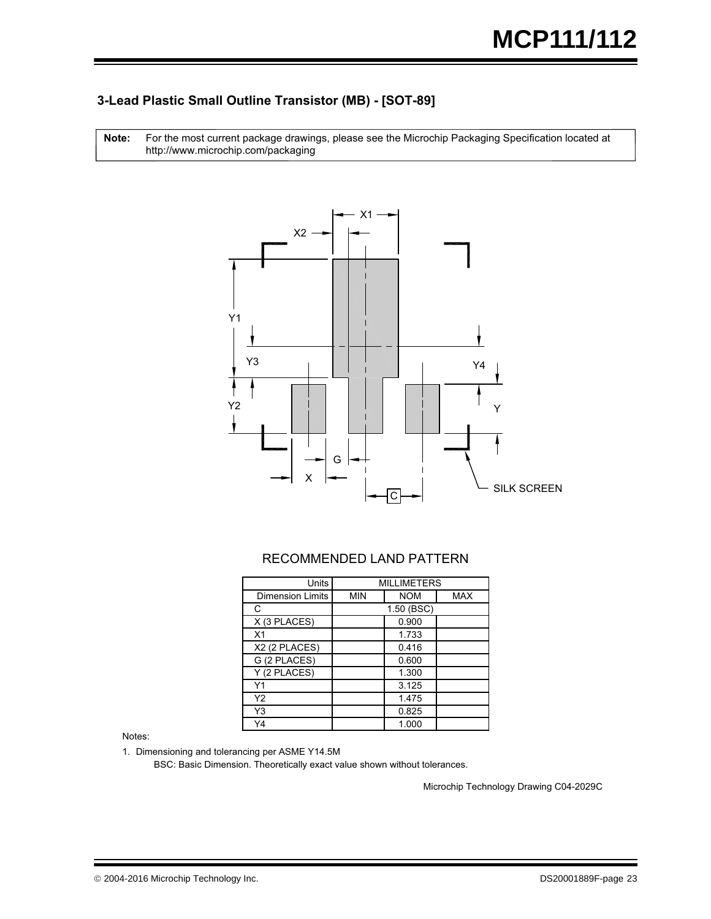#### **3-Lead Plastic Small Outline Transistor (MB) - [SOT-89]**

For the most current package drawings, please see the Microchip Packaging Specification located at http://www.microchip.com/packaging **Note:**



#### RECOMMENDED LAND PATTERN

| <b>Units</b>              | <b>MILLIMETERS</b> |            |            |  |  |  |
|---------------------------|--------------------|------------|------------|--|--|--|
| <b>Dimension Limits</b>   | <b>MIN</b>         | <b>NOM</b> | <b>MAX</b> |  |  |  |
| C                         |                    | 1.50 (BSC) |            |  |  |  |
| X (3 PLACES)              |                    | 0.900      |            |  |  |  |
| X <sub>1</sub>            |                    | 1.733      |            |  |  |  |
| X2 (2 PLACES)             |                    | 0.416      |            |  |  |  |
| $\overline{G}$ (2 PLACES) |                    | 0.600      |            |  |  |  |
| Y (2 PLACES)              |                    | 1.300      |            |  |  |  |
| Υ1                        |                    | 3.125      |            |  |  |  |
| Υ2                        |                    | 1.475      |            |  |  |  |
| Y3                        |                    | 0.825      |            |  |  |  |
| Y4                        |                    | 1.000      |            |  |  |  |

Notes:

1. Dimensioning and tolerancing per ASME Y14.5M

BSC: Basic Dimension. Theoretically exact value shown without tolerances.

Microchip Technology Drawing C04-2029C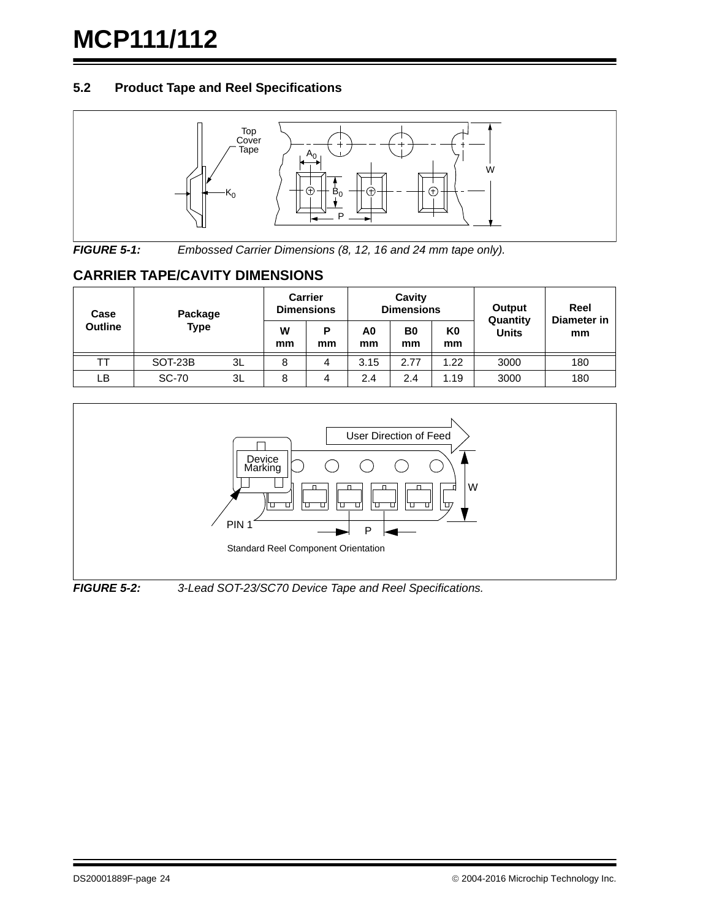#### **5.2 Product Tape and Reel Specifications**



*FIGURE 5-1: Embossed Carrier Dimensions (8, 12, 16 and 24 mm tape only).*

### **CARRIER TAPE/CAVITY DIMENSIONS**

| Case           | Package      |    |         | <b>Carrier</b><br><b>Dimensions</b> | Cavity<br><b>Dimensions</b> |                      |                      | Reel<br>Output<br>Quantity<br>Diameter in |     |
|----------------|--------------|----|---------|-------------------------------------|-----------------------------|----------------------|----------------------|-------------------------------------------|-----|
| <b>Outline</b> | <b>Type</b>  |    | w<br>mm | P<br>mm                             | A0<br>mm                    | B <sub>0</sub><br>mm | K <sub>0</sub><br>mm | <b>Units</b>                              | mm  |
|                | SOT-23B      | 3L | 8       | 4                                   | 3.15                        | 2.77                 | 1.22                 | 3000                                      | 180 |
| LB             | <b>SC-70</b> | 3L | 8       | 4                                   | 2.4                         | 2.4                  | 1.19                 | 3000                                      | 180 |



*FIGURE 5-2: 3-Lead SOT-23/SC70 Device Tape and Reel Specifications.*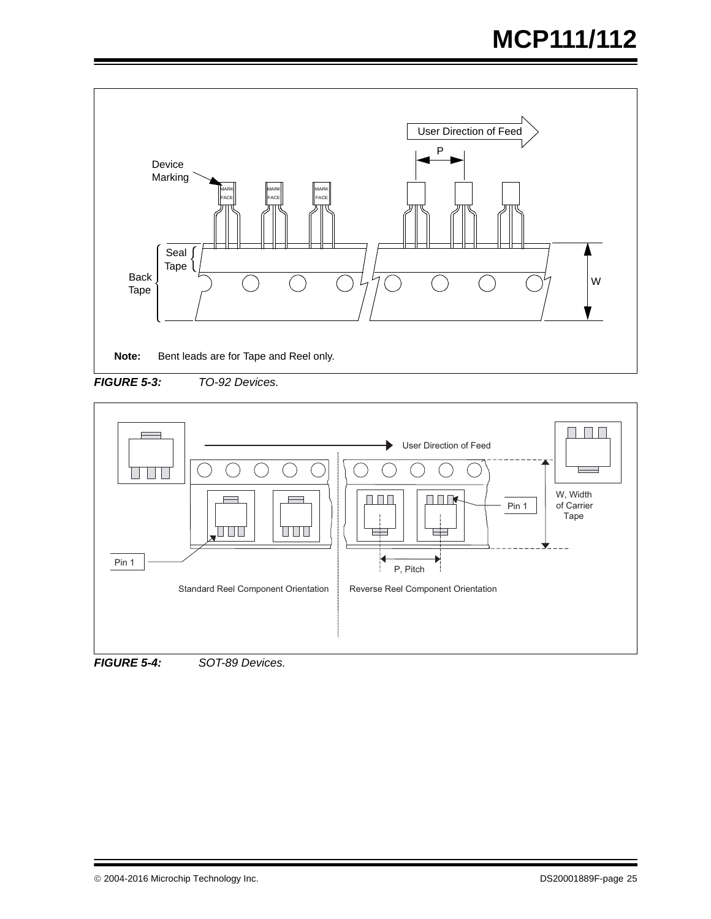

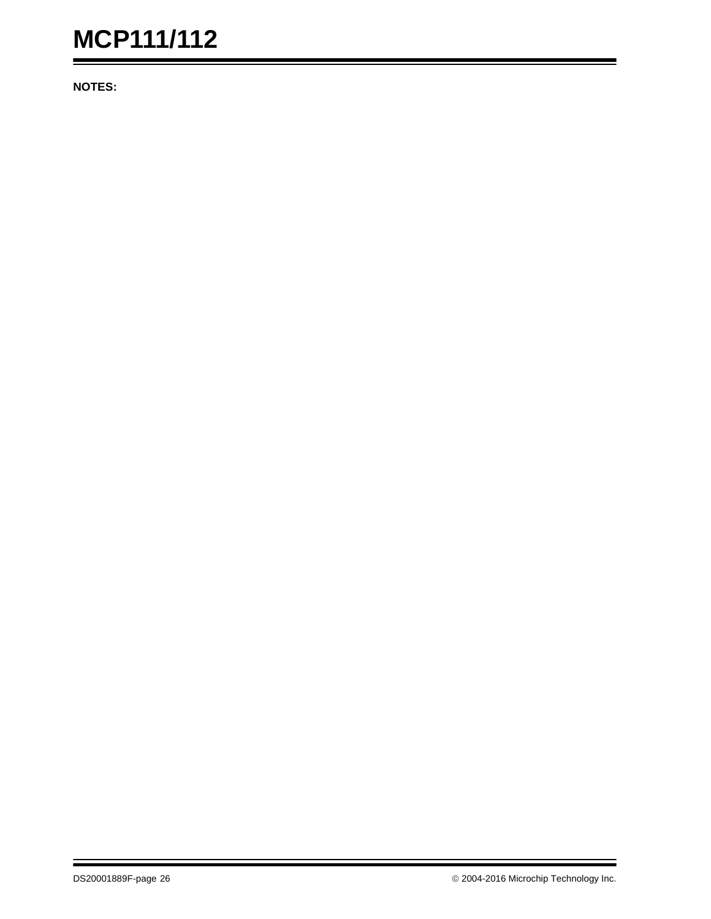**NOTES:**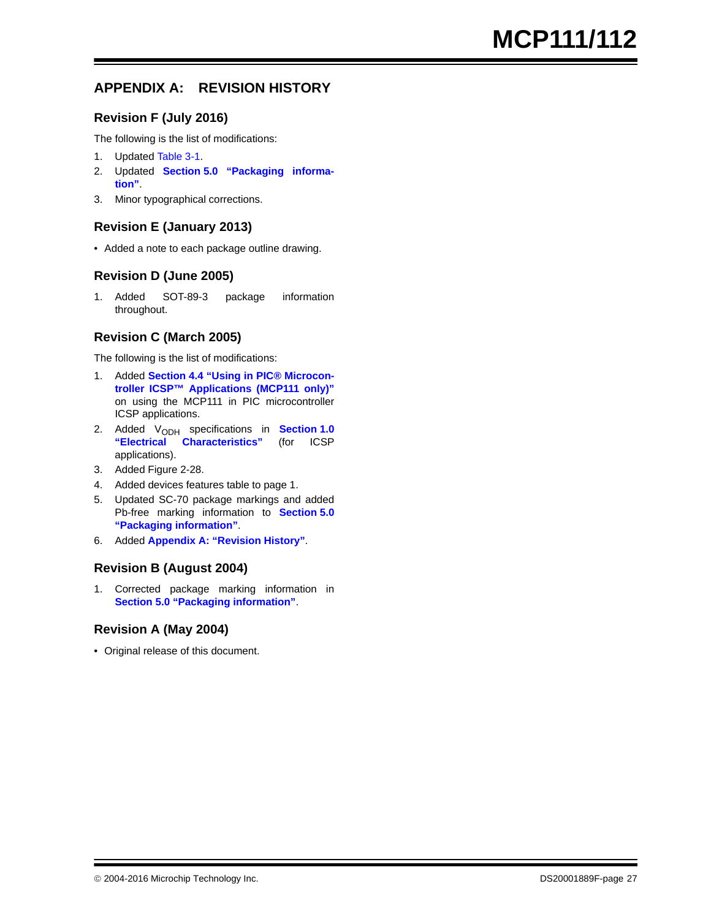### <span id="page-26-0"></span>**APPENDIX A: REVISION HISTORY**

#### **Revision F (July 2016)**

The following is the list of modifications:

- 1. Updated [Table 3-1](#page-9-1).
- 2. Updated **[Section 5.0 "Packaging informa](#page-12-0)[tion"](#page-12-0)**.
- 3. Minor typographical corrections.

#### **Revision E (January 2013)**

• Added a note to each package outline drawing.

#### **Revision D (June 2005)**

1. Added SOT-89-3 package information throughout.

#### **Revision C (March 2005)**

The following is the list of modifications:

- 1. Added **[Section 4.4 "Using in PIC® Microcon](#page-11-2)[troller ICSP™ Applications \(MCP111 only\)"](#page-11-2)** on using the MCP111 in PIC microcontroller ICSP applications.
- 2. Added V<sub>ODH</sub> specifications in **[Section 1.0](#page-1-4)**<br>"**Electrical Characteristics**" (for ICSP  $Characteristics''$ applications).
- 3. Added Figure 2-28.
- 4. Added devices features table to page 1.
- 5. Updated SC-70 package markings and added Pb-free marking information to **[Section 5.0](#page-12-0) ["Packaging information"](#page-12-0)**.
- 6. Added **[Appendix A: "Revision History"](#page-26-0)**.

#### **Revision B (August 2004)**

1. Corrected package marking information in **[Section 5.0 "Packaging information"](#page-12-0)**.

#### **Revision A (May 2004)**

• Original release of this document.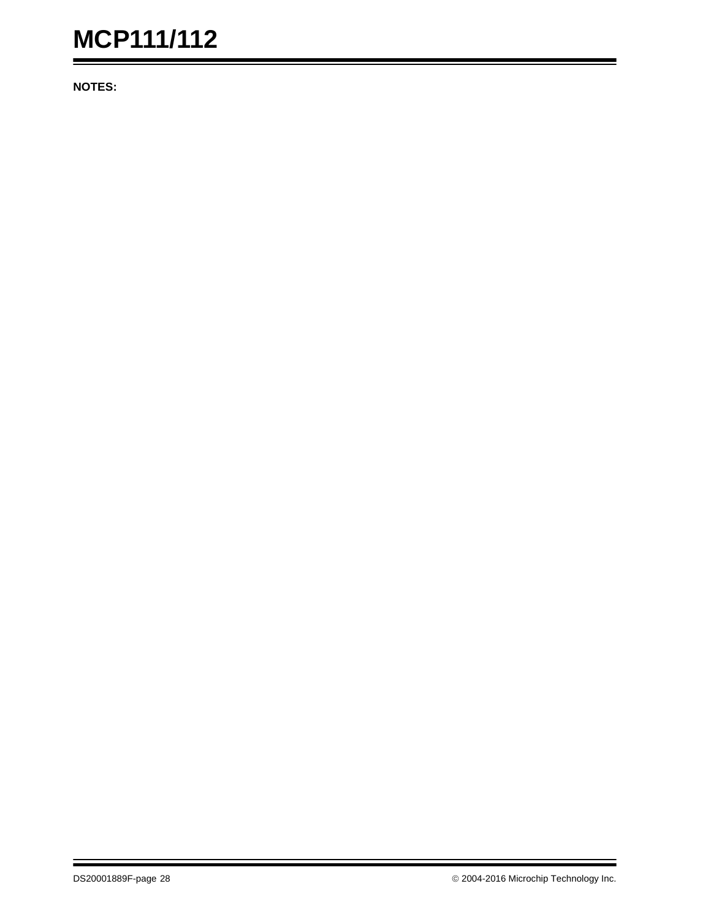**NOTES:**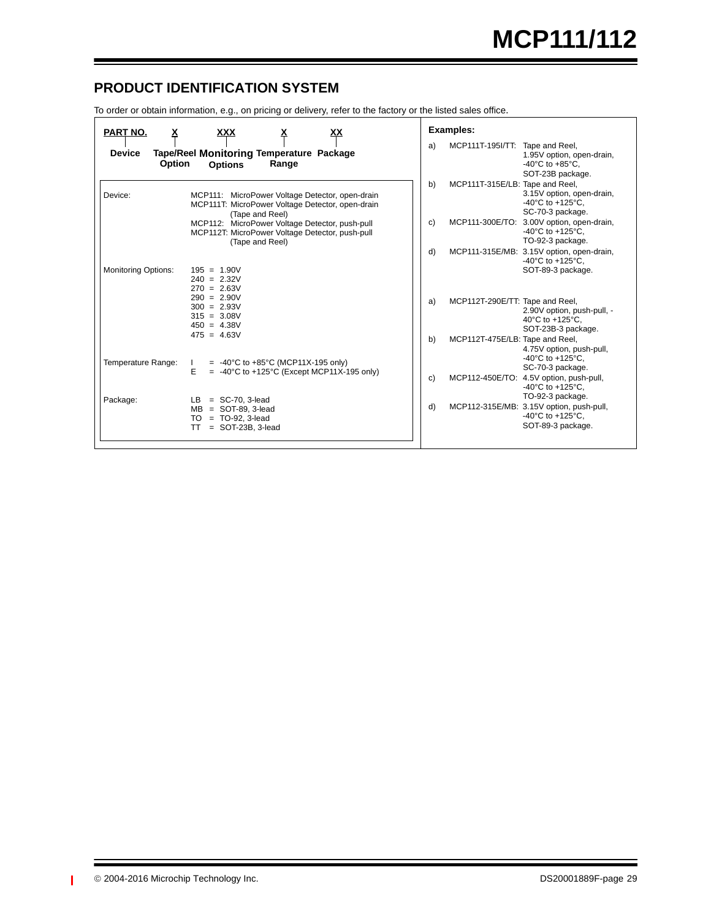### **PRODUCT IDENTIFICATION SYSTEM**

To order or obtain information, e.g., on pricing or delivery, refer to the factory or the listed sales office.

| PART NO.<br>х<br><b>Device</b> | <u>XX</u><br>xxx                                                                                                       | a) | Examples:<br>MCP111T-195I/TT: Tape and Reel, |                                                                                                          |
|--------------------------------|------------------------------------------------------------------------------------------------------------------------|----|----------------------------------------------|----------------------------------------------------------------------------------------------------------|
| <b>Option</b>                  | Tape/Reel Monitoring Temperature Package<br>Range<br><b>Options</b>                                                    |    |                                              | 1.95V option, open-drain,<br>-40 $^{\circ}$ C to +85 $^{\circ}$ C,<br>SOT-23B package.                   |
| Device:                        | MCP111: MicroPower Voltage Detector, open-drain<br>MCP111T: MicroPower Voltage Detector, open-drain<br>(Tape and Reel) | b) | MCP111T-315E/LB: Tape and Reel,              | 3.15V option, open-drain,<br>$-40^{\circ}$ C to $+125^{\circ}$ C,<br>SC-70-3 package.                    |
|                                | MCP112: MicroPower Voltage Detector, push-pull<br>MCP112T: MicroPower Voltage Detector, push-pull<br>(Tape and Reel)   | c) | MCP111-300E/TO:                              | 3.00V option, open-drain,<br>$-40^{\circ}$ C to $+125^{\circ}$ C.<br>TO-92-3 package.                    |
| <b>Monitoring Options:</b>     | $195 = 1.90V$                                                                                                          | d) |                                              | MCP111-315E/MB: 3.15V option, open-drain,<br>-40 $^{\circ}$ C to +125 $^{\circ}$ C.<br>SOT-89-3 package. |
|                                | $240 = 2.32V$<br>$270 = 2.63V$                                                                                         |    |                                              |                                                                                                          |
|                                | $290 = 2.90V$<br>$300 = 2.93V$<br>$315 = 3.08V$<br>$450 = 4.38V$<br>$475 = 4.63V$                                      | a) | MCP112T-290E/TT: Tape and Reel,              | 2.90V option, push-pull, -<br>40°C to +125°C.<br>SOT-23B-3 package.                                      |
| Temperature Range:             | $= -40^{\circ}$ C to +85 $^{\circ}$ C (MCP11X-195 only)<br>$\mathbf{L}$                                                | b) | MCP112T-475E/LB: Tape and Reel,              | 4.75V option, push-pull,<br>$-40^{\circ}$ C to $+125^{\circ}$ C.                                         |
|                                | E<br>$= -40^{\circ}$ C to +125°C (Except MCP11X-195 only)                                                              | c) |                                              | SC-70-3 package.<br>MCP112-450E/TO: 4.5V option, push-pull,<br>-40°C to +125°C.                          |
| Package:                       | $=$ SC-70, 3-lead<br>LB.<br>$MB =$ SOT-89, 3-lead<br>$= TO-92, 3-lead$<br>TO.<br>$=$ SOT-23B, 3-lead<br>TT             | d) |                                              | TO-92-3 package.<br>MCP112-315E/MB: 3.15V option, push-pull,<br>-40°C to +125°C,<br>SOT-89-3 package.    |

 $\blacksquare$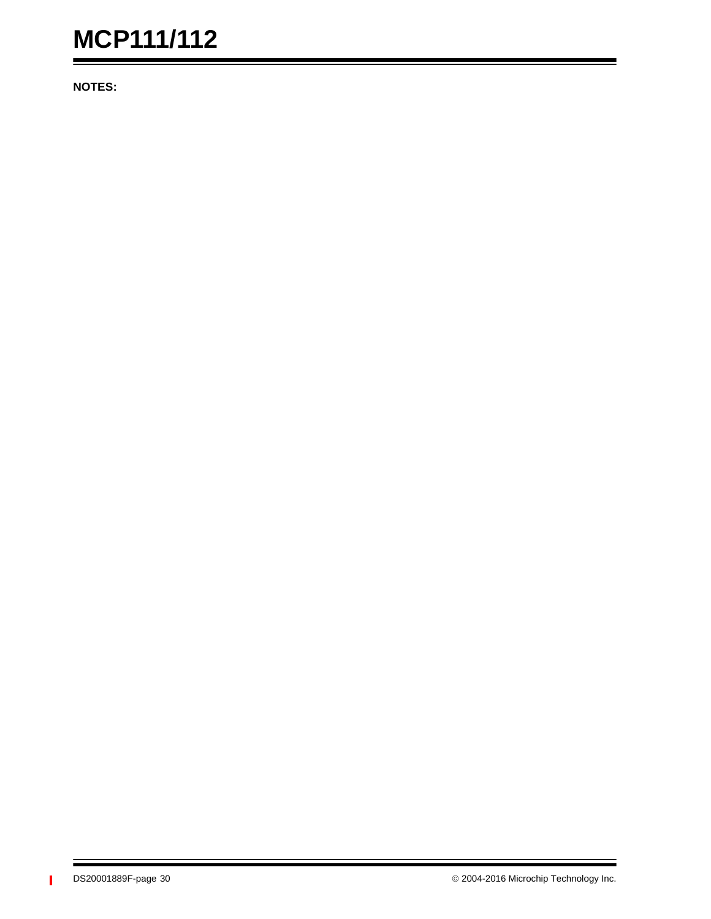**NOTES:**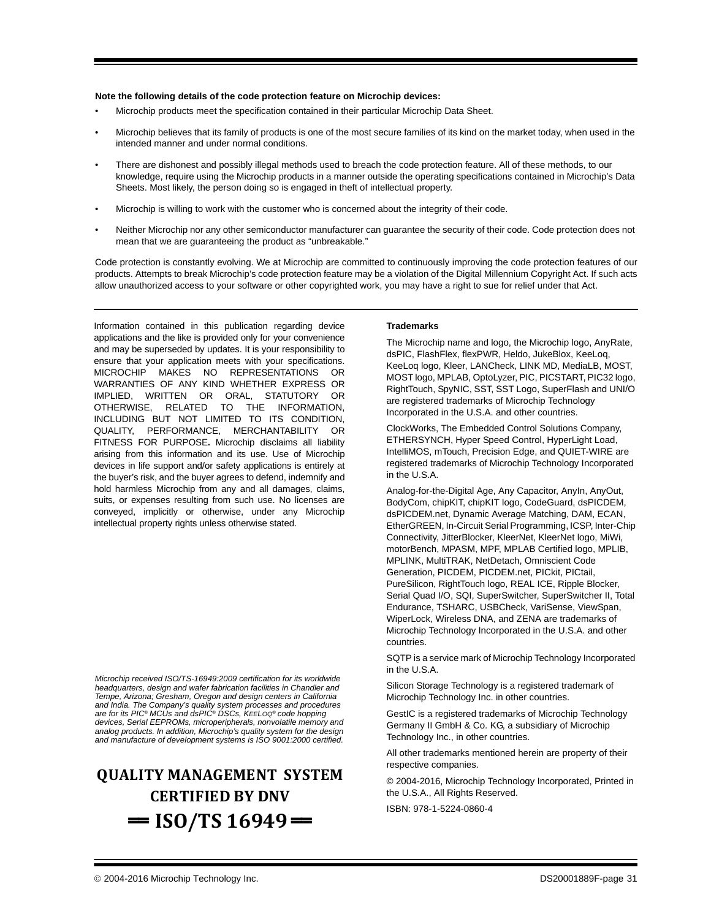#### **Note the following details of the code protection feature on Microchip devices:**

- Microchip products meet the specification contained in their particular Microchip Data Sheet.
- Microchip believes that its family of products is one of the most secure families of its kind on the market today, when used in the intended manner and under normal conditions.
- There are dishonest and possibly illegal methods used to breach the code protection feature. All of these methods, to our knowledge, require using the Microchip products in a manner outside the operating specifications contained in Microchip's Data Sheets. Most likely, the person doing so is engaged in theft of intellectual property.
- Microchip is willing to work with the customer who is concerned about the integrity of their code.
- Neither Microchip nor any other semiconductor manufacturer can guarantee the security of their code. Code protection does not mean that we are guaranteeing the product as "unbreakable."

Code protection is constantly evolving. We at Microchip are committed to continuously improving the code protection features of our products. Attempts to break Microchip's code protection feature may be a violation of the Digital Millennium Copyright Act. If such acts allow unauthorized access to your software or other copyrighted work, you may have a right to sue for relief under that Act.

Information contained in this publication regarding device applications and the like is provided only for your convenience and may be superseded by updates. It is your responsibility to ensure that your application meets with your specifications. MICROCHIP MAKES NO REPRESENTATIONS OR WARRANTIES OF ANY KIND WHETHER EXPRESS OR IMPLIED, WRITTEN OR ORAL, STATUTORY OR OTHERWISE, RELATED TO THE INFORMATION, INCLUDING BUT NOT LIMITED TO ITS CONDITION, QUALITY, PERFORMANCE, MERCHANTABILITY OR FITNESS FOR PURPOSE**.** Microchip disclaims all liability arising from this information and its use. Use of Microchip devices in life support and/or safety applications is entirely at the buyer's risk, and the buyer agrees to defend, indemnify and hold harmless Microchip from any and all damages, claims, suits, or expenses resulting from such use. No licenses are conveyed, implicitly or otherwise, under any Microchip intellectual property rights unless otherwise stated.

*Microchip received ISO/TS-16949:2009 certification for its worldwide headquarters, design and wafer fabrication facilities in Chandler and Tempe, Arizona; Gresham, Oregon and design centers in California and India. The Company's quality system processes and procedures are for its PIC® MCUs and dsPIC® DSCs, KEELOQ® code hopping devices, Serial EEPROMs, microperipherals, nonvolatile memory and analog products. In addition, Microchip's quality system for the design and manufacture of development systems is ISO 9001:2000 certified.*

# **QUALITY MANAGEMENT SYSTEM CERTIFIED BY DNV**  $=$  **ISO/TS** 16949 $=$

#### **Trademarks**

The Microchip name and logo, the Microchip logo, AnyRate, dsPIC, FlashFlex, flexPWR, Heldo, JukeBlox, KeeLoq, KeeLoq logo, Kleer, LANCheck, LINK MD, MediaLB, MOST, MOST logo, MPLAB, OptoLyzer, PIC, PICSTART, PIC32 logo, RightTouch, SpyNIC, SST, SST Logo, SuperFlash and UNI/O are registered trademarks of Microchip Technology Incorporated in the U.S.A. and other countries.

ClockWorks, The Embedded Control Solutions Company, ETHERSYNCH, Hyper Speed Control, HyperLight Load, IntelliMOS, mTouch, Precision Edge, and QUIET-WIRE are registered trademarks of Microchip Technology Incorporated in the U.S.A.

Analog-for-the-Digital Age, Any Capacitor, AnyIn, AnyOut, BodyCom, chipKIT, chipKIT logo, CodeGuard, dsPICDEM, dsPICDEM.net, Dynamic Average Matching, DAM, ECAN, EtherGREEN, In-Circuit Serial Programming, ICSP, Inter-Chip Connectivity, JitterBlocker, KleerNet, KleerNet logo, MiWi, motorBench, MPASM, MPF, MPLAB Certified logo, MPLIB, MPLINK, MultiTRAK, NetDetach, Omniscient Code Generation, PICDEM, PICDEM.net, PICkit, PICtail, PureSilicon, RightTouch logo, REAL ICE, Ripple Blocker, Serial Quad I/O, SQI, SuperSwitcher, SuperSwitcher II, Total Endurance, TSHARC, USBCheck, VariSense, ViewSpan, WiperLock, Wireless DNA, and ZENA are trademarks of Microchip Technology Incorporated in the U.S.A. and other countries.

SQTP is a service mark of Microchip Technology Incorporated in the U.S.A.

Silicon Storage Technology is a registered trademark of Microchip Technology Inc. in other countries.

GestIC is a registered trademarks of Microchip Technology Germany II GmbH & Co. KG, a subsidiary of Microchip Technology Inc., in other countries.

All other trademarks mentioned herein are property of their respective companies.

© 2004-2016, Microchip Technology Incorporated, Printed in the U.S.A., All Rights Reserved.

ISBN: 978-1-5224-0860-4